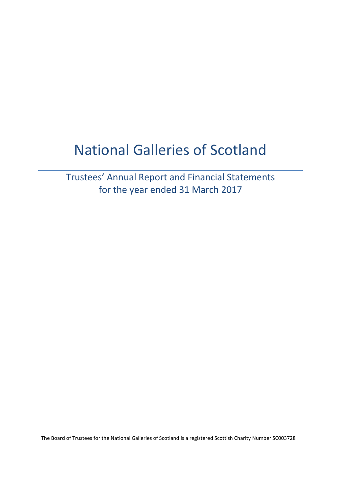# National Galleries of Scotland

Trustees' Annual Report and Financial Statements for the year ended 31 March 2017

The Board of Trustees for the National Galleries of Scotland is a registered Scottish Charity Number SC003728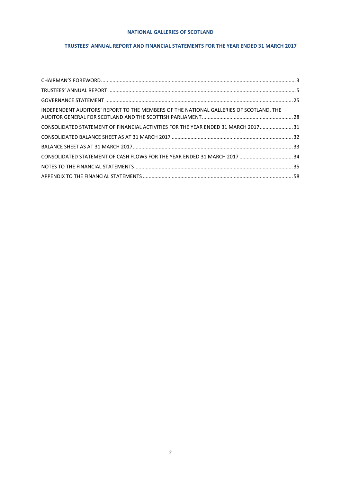## **TRUSTEES' ANNUAL REPORT AND FINANCIAL STATEMENTS FOR THE YEAR ENDED 31 MARCH 2017**

| INDEPENDENT AUDITORS' REPORT TO THE MEMBERS OF THE NATIONAL GALLERIES OF SCOTLAND, THE |  |
|----------------------------------------------------------------------------------------|--|
| CONSOLIDATED STATEMENT OF FINANCIAL ACTIVITIES FOR THE YEAR ENDED 31 MARCH 2017 31     |  |
|                                                                                        |  |
|                                                                                        |  |
| CONSOLIDATED STATEMENT OF CASH FLOWS FOR THE YEAR ENDED 31 MARCH 2017  34              |  |
|                                                                                        |  |
|                                                                                        |  |
|                                                                                        |  |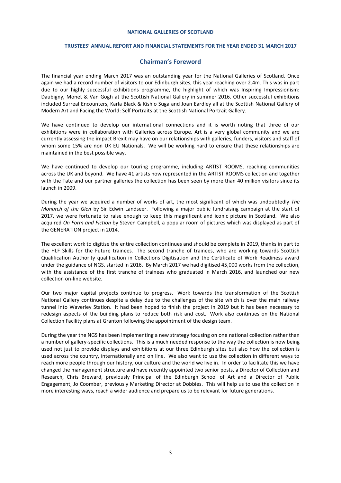#### **TRUSTEES' ANNUAL REPORT AND FINANCIAL STATEMENTS FOR THE YEAR ENDED 31 MARCH 2017**

## **Chairman's Foreword**

<span id="page-2-0"></span>The financial year ending March 2017 was an outstanding year for the National Galleries of Scotland. Once again we had a record number of visitors to our Edinburgh sites, this year reaching over 2.4m. This was in part due to our highly successful exhibitions programme, the highlight of which was Inspiring Impressionism: Daubigny, Monet & Van Gogh at the Scottish National Gallery in summer 2016. Other successful exhibitions included Surreal Encounters, Karla Black & Kishio Suga and Joan Eardley all at the Scottish National Gallery of Modern Art and Facing the World: Self Portraits at the Scottish National Portrait Gallery.

We have continued to develop our international connections and it is worth noting that three of our exhibitions were in collaboration with Galleries across Europe. Art is a very global community and we are currently assessing the impact Brexit may have on our relationships with galleries, funders, visitors and staff of whom some 15% are non UK EU Nationals. We will be working hard to ensure that these relationships are maintained in the best possible way.

We have continued to develop our touring programme, including ARTIST ROOMS, reaching communities across the UK and beyond. We have 41 artists now represented in the ARTIST ROOMS collection and together with the Tate and our partner galleries the collection has been seen by more than 40 million visitors since its launch in 2009.

During the year we acquired a number of works of art, the most significant of which was undoubtedly *The Monarch of the Glen* by Sir Edwin Landseer. Following a major public fundraising campaign at the start of 2017, we were fortunate to raise enough to keep this magnificent and iconic picture in Scotland. We also acquired *On Form and Fiction* by Steven Campbell, a popular room of pictures which was displayed as part of the GENERATION project in 2014.

The excellent work to digitise the entire collection continues and should be complete in 2019, thanks in part to the HLF Skills for the Future trainees. The second tranche of trainees, who are working towards Scottish Qualification Authority qualification in Collections Digitisation and the Certificate of Work Readiness award under the guidance of NGS, started in 2016. By March 2017 we had digitised 45,000 works from the collection, with the assistance of the first tranche of trainees who graduated in March 2016, and launched our new collection on-line website.

Our two major capital projects continue to progress. Work towards the transformation of the Scottish National Gallery continues despite a delay due to the challenges of the site which is over the main railway tunnel into Waverley Station. It had been hoped to finish the project in 2019 but it has been necessary to redesign aspects of the building plans to reduce both risk and cost. Work also continues on the National Collection Facility plans at Granton following the appointment of the design team.

During the year the NGS has been implementing a new strategy focusing on one national collection rather than a number of gallery-specific collections. This is a much needed response to the way the collection is now being used not just to provide displays and exhibitions at our three Edinburgh sites but also how the collection is used across the country, internationally and on line. We also want to use the collection in different ways to reach more people through our history, our culture and the world we live in. In order to facilitate this we have changed the management structure and have recently appointed two senior posts, a Director of Collection and Research, Chris Breward, previously Principal of the Edinburgh School of Art and a Director of Public Engagement, Jo Coomber, previously Marketing Director at Dobbies. This will help us to use the collection in more interesting ways, reach a wider audience and prepare us to be relevant for future generations.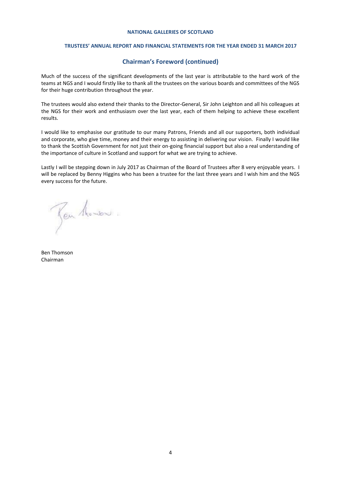#### **TRUSTEES' ANNUAL REPORT AND FINANCIAL STATEMENTS FOR THE YEAR ENDED 31 MARCH 2017**

## **Chairman's Foreword (continued)**

Much of the success of the significant developments of the last year is attributable to the hard work of the teams at NGS and I would firstly like to thank all the trustees on the various boards and committees of the NGS for their huge contribution throughout the year.

The trustees would also extend their thanks to the Director-General, Sir John Leighton and all his colleagues at the NGS for their work and enthusiasm over the last year, each of them helping to achieve these excellent results.

I would like to emphasise our gratitude to our many Patrons, Friends and all our supporters, both individual and corporate, who give time, money and their energy to assisting in delivering our vision. Finally I would like to thank the Scottish Government for not just their on-going financial support but also a real understanding of the importance of culture in Scotland and support for what we are trying to achieve.

Lastly I will be stepping down in July 2017 as Chairman of the Board of Trustees after 8 very enjoyable years. I will be replaced by Benny Higgins who has been a trustee for the last three years and I wish him and the NGS every success for the future.

Jen Monson.

Ben Thomson Chairman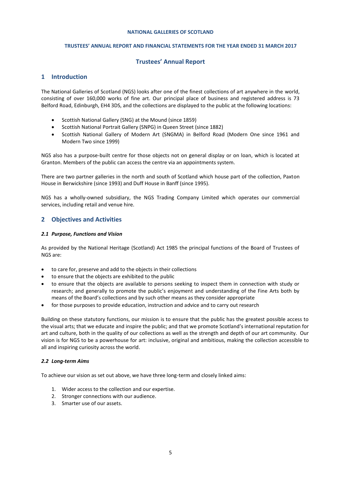#### **TRUSTEES' ANNUAL REPORT AND FINANCIAL STATEMENTS FOR THE YEAR ENDED 31 MARCH 2017**

## **Trustees' Annual Report**

## <span id="page-4-0"></span>**1 Introduction**

The National Galleries of Scotland (NGS) looks after one of the finest collections of art anywhere in the world, consisting of over 160,000 works of fine art. Our principal place of business and registered address is 73 Belford Road, Edinburgh, EH4 3DS, and the collections are displayed to the public at the following locations:

- Scottish National Gallery (SNG) at the Mound (since 1859)
- Scottish National Portrait Gallery (SNPG) in Queen Street (since 1882)
- Scottish National Gallery of Modern Art (SNGMA) in Belford Road (Modern One since 1961 and Modern Two since 1999)

NGS also has a purpose-built centre for those objects not on general display or on loan, which is located at Granton. Members of the public can access the centre via an appointments system.

There are two partner galleries in the north and south of Scotland which house part of the collection, Paxton House in Berwickshire (since 1993) and Duff House in Banff (since 1995).

NGS has a wholly-owned subsidiary, the NGS Trading Company Limited which operates our commercial services, including retail and venue hire.

## **2 Objectives and Activities**

## *2.1 Purpose, Functions and Vision*

As provided by the National Heritage (Scotland) Act 1985 the principal functions of the Board of Trustees of NGS are:

- to care for, preserve and add to the objects in their collections
- to ensure that the objects are exhibited to the public
- to ensure that the objects are available to persons seeking to inspect them in connection with study or research; and generally to promote the public's enjoyment and understanding of the Fine Arts both by means of the Board's collections and by such other means as they consider appropriate
- for those purposes to provide education, instruction and advice and to carry out research

Building on these statutory functions, our mission is to ensure that the public has the greatest possible access to the visual arts; that we educate and inspire the public; and that we promote Scotland's international reputation for art and culture, both in the quality of our collections as well as the strength and depth of our art community. Our vision is for NGS to be a powerhouse for art: inclusive, original and ambitious, making the collection accessible to all and inspiring curiosity across the world.

## *2.2 Long-term Aims*

To achieve our vision as set out above, we have three long-term and closely linked aims:

- 1. Wider access to the collection and our expertise.
- 2. Stronger connections with our audience.
- 3. Smarter use of our assets.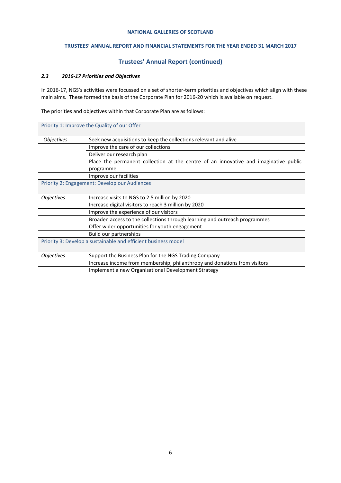## **TRUSTEES' ANNUAL REPORT AND FINANCIAL STATEMENTS FOR THE YEAR ENDED 31 MARCH 2017**

## **Trustees' Annual Report (continued)**

## *2.3 2016-17 Priorities and Objectives*

In 2016-17, NGS's activities were focussed on a set of shorter-term priorities and objectives which align with these main aims. These formed the basis of the Corporate Plan for 2016-20 which is available on request.

The priorities and objectives within that Corporate Plan are as follows:

|                                                                | Priority 1: Improve the Quality of our Offer                                         |  |  |
|----------------------------------------------------------------|--------------------------------------------------------------------------------------|--|--|
| <b>Objectives</b>                                              | Seek new acquisitions to keep the collections relevant and alive                     |  |  |
|                                                                | Improve the care of our collections                                                  |  |  |
|                                                                | Deliver our research plan                                                            |  |  |
|                                                                | Place the permanent collection at the centre of an innovative and imaginative public |  |  |
|                                                                | programme                                                                            |  |  |
|                                                                | Improve our facilities                                                               |  |  |
|                                                                | Priority 2: Engagement: Develop our Audiences                                        |  |  |
|                                                                |                                                                                      |  |  |
| <b>Objectives</b>                                              | Increase visits to NGS to 2.5 million by 2020                                        |  |  |
|                                                                | Increase digital visitors to reach 3 million by 2020                                 |  |  |
|                                                                | Improve the experience of our visitors                                               |  |  |
|                                                                | Broaden access to the collections through learning and outreach programmes           |  |  |
|                                                                | Offer wider opportunities for youth engagement                                       |  |  |
|                                                                | Build our partnerships                                                               |  |  |
| Priority 3: Develop a sustainable and efficient business model |                                                                                      |  |  |
|                                                                |                                                                                      |  |  |
| <b>Objectives</b>                                              | Support the Business Plan for the NGS Trading Company                                |  |  |
|                                                                | Increase income from membership, philanthropy and donations from visitors            |  |  |
|                                                                | Implement a new Organisational Development Strategy                                  |  |  |
|                                                                |                                                                                      |  |  |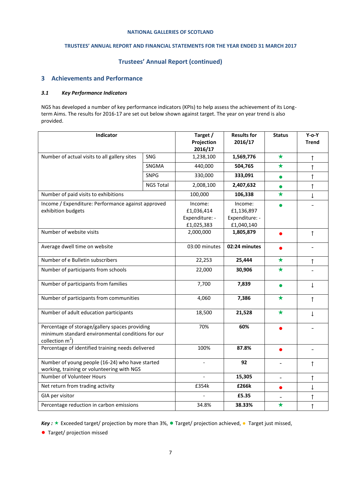## **TRUSTEES' ANNUAL REPORT AND FINANCIAL STATEMENTS FOR THE YEAR ENDED 31 MARCH 2017**

## **Trustees' Annual Report (continued)**

## **3 Achievements and Performance**

## *3.1 Key Performance Indicators*

NGS has developed a number of key performance indicators (KPIs) to help assess the achievement of its Longterm Aims. The results for 2016-17 are set out below shown against target. The year on year trend is also provided.

| Indicator                                                                                                                 |                  | Target /<br>Projection<br>2016/17 | <b>Results for</b><br>2016/17 | <b>Status</b>  | $Y$ -o- $Y$<br><b>Trend</b> |
|---------------------------------------------------------------------------------------------------------------------------|------------------|-----------------------------------|-------------------------------|----------------|-----------------------------|
| Number of actual visits to all gallery sites                                                                              | <b>SNG</b>       |                                   | 1,569,776                     | $\star$        | ↑                           |
|                                                                                                                           | SNGMA            | 440,000                           | 504,765                       | $\bigstar$     | $\uparrow$                  |
|                                                                                                                           | <b>SNPG</b>      | 330,000                           | 333,091                       | $\bullet$      | $\uparrow$                  |
|                                                                                                                           | <b>NGS Total</b> | 2,008,100                         | 2,407,632                     | $\bullet$      | $\uparrow$                  |
| Number of paid visits to exhibitions                                                                                      |                  | 100,000                           | 106,338                       | $\bigstar$     | Ť                           |
| Income / Expenditure: Performance against approved                                                                        |                  | Income:                           | Income:                       |                |                             |
| exhibition budgets                                                                                                        |                  | £1,036,414                        | £1,136,897                    |                |                             |
|                                                                                                                           |                  | Expenditure: -                    | Expenditure: -                |                |                             |
|                                                                                                                           |                  | £1,025,383                        | £1,040,140                    |                |                             |
| Number of website visits                                                                                                  |                  | 2,000,000                         | 1,805,879                     | $\bullet$      | $\uparrow$                  |
| Average dwell time on website                                                                                             |                  | 03:00 minutes                     | 02:24 minutes                 |                |                             |
| Number of e Bulletin subscribers                                                                                          |                  | 22,253                            | 25,444                        | $\bigstar$     | $\uparrow$                  |
| Number of participants from schools                                                                                       |                  | 22,000                            | 30,906                        | $\bigstar$     |                             |
| Number of participants from families                                                                                      |                  | 7,700                             | 7,839                         | $\bullet$      | $\downarrow$                |
| Number of participants from communities                                                                                   |                  | 4,060                             | 7,386                         | $\bigstar$     | $\uparrow$                  |
| Number of adult education participants                                                                                    |                  | 18,500                            | 21,528                        | $\star$        | $\mathsf{\Gamma}$           |
| Percentage of storage/gallery spaces providing<br>minimum standard environmental conditions for our<br>collection $m^2$ ) |                  | 70%                               | 60%                           |                |                             |
| Percentage of identified training needs delivered                                                                         |                  | 100%                              | 87.8%                         | $\bullet$      | $\overline{\phantom{0}}$    |
| Number of young people (16-24) who have started<br>working, training or volunteering with NGS                             |                  | $\overline{\phantom{a}}$          | 92                            | $\blacksquare$ | ↑                           |
| Number of Volunteer Hours                                                                                                 |                  |                                   | 15,305                        | $\blacksquare$ | ↑                           |
| Net return from trading activity                                                                                          |                  | £354k                             | £266k                         | $\bullet$      | T                           |
| GIA per visitor                                                                                                           |                  |                                   | £5.35                         |                | ↑                           |
| Percentage reduction in carbon emissions                                                                                  |                  | 34.8%                             | 38.33%                        | $\bigstar$     | $\uparrow$                  |

*Key* : ★ Exceeded target/ projection by more than 3%, ● Target/ projection achieved, ● Target just missed,

●Target/ projection missed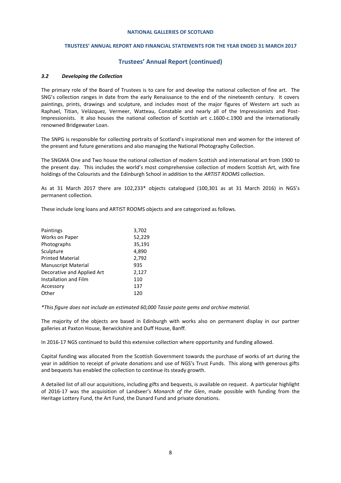#### **TRUSTEES' ANNUAL REPORT AND FINANCIAL STATEMENTS FOR THE YEAR ENDED 31 MARCH 2017**

## **Trustees' Annual Report (continued)**

#### *3.2 Developing the Collection*

The primary role of the Board of Trustees is to care for and develop the national collection of fine art. The SNG's collection ranges in date from the early Renaissance to the end of the nineteenth century. It covers paintings, prints, drawings and sculpture, and includes most of the major figures of Western art such as Raphael, Titian, Velázquez, Vermeer, Watteau, Constable and nearly all of the Impressionists and Post-Impressionists. It also houses the national collection of Scottish art c.1600-c.1900 and the internationally renowned Bridgewater Loan.

The SNPG is responsible for collecting portraits of Scotland's inspirational men and women for the interest of the present and future generations and also managing the National Photography Collection.

The SNGMA One and Two house the national collection of modern Scottish and international art from 1900 to the present day. This includes the world's most comprehensive collection of modern Scottish Art, with fine holdings of the Colourists and the Edinburgh School in addition to the *ARTIST ROOMS* collection.

As at 31 March 2017 there are 102,233\* objects catalogued (100,301 as at 31 March 2016) in NGS's permanent collection.

These include long loans and ARTIST ROOMS objects and are categorized as follows.

| Paintings                  | 3,702  |
|----------------------------|--------|
| Works on Paper             | 52,229 |
| Photographs                | 35,191 |
| Sculpture                  | 4,890  |
| <b>Printed Material</b>    | 2,792  |
| <b>Manuscript Material</b> | 935    |
| Decorative and Applied Art | 2,127  |
| Installation and Film      | 110    |
| Accessory                  | 137    |
| Other                      | 120    |
|                            |        |

*\*This figure does not include an estimated 60,000 Tassie paste gems and archive material.*

The majority of the objects are based in Edinburgh with works also on permanent display in our partner galleries at Paxton House, Berwickshire and Duff House, Banff.

In 2016-17 NGS continued to build this extensive collection where opportunity and funding allowed.

Capital funding was allocated from the Scottish Government towards the purchase of works of art during the year in addition to receipt of private donations and use of NGS's Trust Funds. This along with generous gifts and bequests has enabled the collection to continue its steady growth.

A detailed list of all our acquisitions, including gifts and bequests, is available on request. A particular highlight of 2016-17 was the acquisition of Landseer's *Monarch of the Glen*, made possible with funding from the Heritage Lottery Fund, the Art Fund, the Dunard Fund and private donations.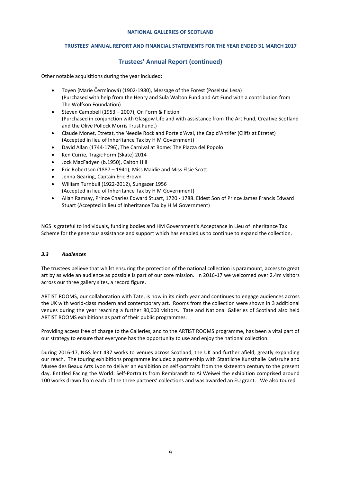## **TRUSTEES' ANNUAL REPORT AND FINANCIAL STATEMENTS FOR THE YEAR ENDED 31 MARCH 2017**

## **Trustees' Annual Report (continued)**

Other notable acquisitions during the year included:

- Toyen (Marie Čermínová) (1902-1980), Message of the Forest (Poselstvi Lesa) (Purchased with help from the Henry and Sula Walton Fund and Art Fund with a contribution from The Wolfson Foundation)
- Steven Campbell (1953 2007), On Form & Fiction (Purchased in conjunction with Glasgow Life and with assistance from The Art Fund, Creative Scotland and the Olive Pollock Morris Trust Fund.)
- Claude Monet, Etretat, the Needle Rock and Porte d'Aval, the Cap d'Antifer (Cliffs at Etretat) (Accepted in lieu of Inheritance Tax by H M Government)
- David Allan (1744-1796), The Carnival at Rome: The Piazza del Popolo
- Ken Currie, Tragic Form (Skate) 2014
- Jock MacFadyen (b.1950), Calton Hill
- Eric Robertson (1887 1941), Miss Maidie and Miss Elsie Scott
- Jenna Gearing, Captain Eric Brown
- William Turnbull (1922-2012), Sungazer 1956 (Accepted in lieu of Inheritance Tax by H M Government)
- Allan Ramsay, Prince Charles Edward Stuart, 1720 1788. Eldest Son of Prince James Francis Edward Stuart (Accepted in lieu of Inheritance Tax by H M Government)

NGS is grateful to individuals, funding bodies and HM Government's Acceptance in Lieu of Inheritance Tax Scheme for the generous assistance and support which has enabled us to continue to expand the collection.

## *3.3 Audiences*

The trustees believe that whilst ensuring the protection of the national collection is paramount, access to great art by as wide an audience as possible is part of our core mission. In 2016-17 we welcomed over 2.4m visitors across our three gallery sites, a record figure.

ARTIST ROOMS, our collaboration with Tate, is now in its ninth year and continues to engage audiences across the UK with world-class modern and contemporary art. Rooms from the collection were shown in 3 additional venues during the year reaching a further 80,000 visitors. Tate and National Galleries of Scotland also held ARTIST ROOMS exhibitions as part of their public programmes.

Providing access free of charge to the Galleries, and to the ARTIST ROOMS programme, has been a vital part of our strategy to ensure that everyone has the opportunity to use and enjoy the national collection.

During 2016-17, NGS lent 437 works to venues across Scotland, the UK and further afield, greatly expanding our reach. The touring exhibitions programme included a partnership with Staatliche Kunsthalle Karlsruhe and Musee des Beaux Arts Lyon to deliver an exhibition on self-portraits from the sixteenth century to the present day. Entitled Facing the World: Self-Portraits from Rembrandt to Ai Weiwei the exhibition comprised around 100 works drawn from each of the three partners' collections and was awarded an EU grant. We also toured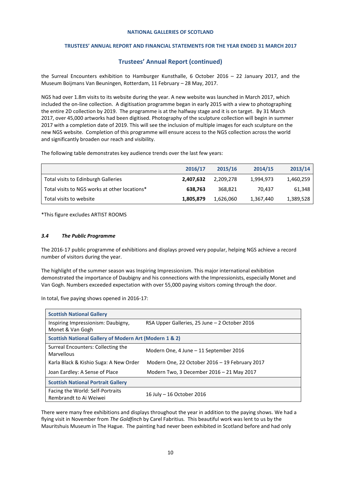## **TRUSTEES' ANNUAL REPORT AND FINANCIAL STATEMENTS FOR THE YEAR ENDED 31 MARCH 2017**

## **Trustees' Annual Report (continued)**

the Surreal Encounters exhibition to Hamburger Kunsthalle, 6 October 2016 – 22 January 2017, and the Museum Boijmans Van Beuningen, Rotterdam, 11 February – 28 May, 2017.

NGS had over 1.8m visits to its website during the year. A new website was launched in March 2017, which included the on-line collection. A digitisation programme began in early 2015 with a view to photographing the entire 2D collection by 2019. The programme is at the halfway stage and it is on target. By 31 March 2017, over 45,000 artworks had been digitised. Photography of the sculpture collection will begin in summer 2017 with a completion date of 2019. This will see the inclusion of multiple images for each sculpture on the new NGS website. Completion of this programme will ensure access to the NGS collection across the world and significantly broaden our reach and visibility.

The following table demonstrates key audience trends over the last few years:

|                                               | 2016/17   | 2015/16   | 2014/15   | 2013/14   |
|-----------------------------------------------|-----------|-----------|-----------|-----------|
| Total visits to Edinburgh Galleries           | 2,407,632 | 2.209.278 | 1,994,973 | 1,460,259 |
| Total visits to NGS works at other locations* | 638.763   | 368.821   | 70.437    | 61,348    |
| Total visits to website                       | 1,805,879 | 1,626,060 | 1,367,440 | 1,389,528 |

\*This figure excludes ARTIST ROOMS

#### *3.4 The Public Programme*

The 2016-17 public programme of exhibitions and displays proved very popular, helping NGS achieve a record number of visitors during the year.

The highlight of the summer season was Inspiring Impressionism. This major international exhibition demonstrated the importance of Daubigny and his connections with the Impressionists, especially Monet and Van Gogh. Numbers exceeded expectation with over 55,000 paying visitors coming through the door.

In total, five paying shows opened in 2016-17:

| <b>Scottish National Gallery</b>                           |                                                |  |  |  |
|------------------------------------------------------------|------------------------------------------------|--|--|--|
| Inspiring Impressionism: Daubigny,<br>Monet & Van Gogh     | RSA Upper Galleries, 25 June - 2 October 2016  |  |  |  |
| Scottish National Gallery of Modern Art (Modern 1 & 2)     |                                                |  |  |  |
| Surreal Encounters: Collecting the<br>Marvellous           | Modern One, 4 June – 11 September 2016         |  |  |  |
| Karla Black & Kishio Suga: A New Order                     | Modern One, 22 October 2016 - 19 February 2017 |  |  |  |
| Joan Eardley: A Sense of Place                             | Modern Two, 3 December 2016 – 21 May 2017      |  |  |  |
| <b>Scottish National Portrait Gallery</b>                  |                                                |  |  |  |
| Facing the World: Self-Portraits<br>Rembrandt to Ai Weiwei | 16 July - 16 October 2016                      |  |  |  |

There were many free exhibitions and displays throughout the year in addition to the paying shows. We had a flying visit in November from *The Goldfinch* by Carel Fabritius*.* This beautiful work was lent to us by the Mauritshuis Museum in The Hague. The painting had never been exhibited in Scotland before and had only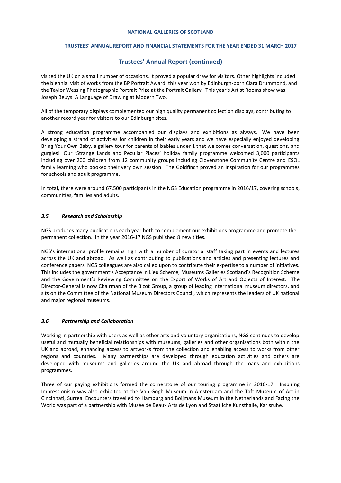## **TRUSTEES' ANNUAL REPORT AND FINANCIAL STATEMENTS FOR THE YEAR ENDED 31 MARCH 2017**

## **Trustees' Annual Report (continued)**

visited the UK on a small number of occasions. It proved a popular draw for visitors. Other highlights included the biennial visit of works from the BP Portrait Award, this year won by Edinburgh-born Clara Drummond, and the Taylor Wessing Photographic Portrait Prize at the Portrait Gallery. This year's Artist Rooms show was Joseph Beuys: A Language of Drawing at Modern Two.

All of the temporary displays complemented our high quality permanent collection displays, contributing to another record year for visitors to our Edinburgh sites.

A strong education programme accompanied our displays and exhibitions as always. We have been developing a strand of activities for children in their early years and we have especially enjoyed developing Bring Your Own Baby, a gallery tour for parents of babies under 1 that welcomes conversation, questions, and gurgles! Our 'Strange Lands and Peculiar Places' holiday family programme welcomed 3,000 participants including over 200 children from 12 community groups including Clovenstone Community Centre and ESOL family learning who booked their very own session. The Goldfinch proved an inspiration for our programmes for schools and adult programme.

In total, there were around 67,500 participants in the NGS Education programme in 2016/17, covering schools, communities, families and adults.

## *3.5 Research and Scholarship*

NGS produces many publications each year both to complement our exhibitions programme and promote the permanent collection. In the year 2016-17 NGS published 8 new titles.

NGS's international profile remains high with a number of curatorial staff taking part in events and lectures across the UK and abroad. As well as contributing to publications and articles and presenting lectures and conference papers, NGS colleagues are also called upon to contribute their expertise to a number of initiatives. This includes the government's Acceptance in Lieu Scheme, Museums Galleries Scotland's Recognition Scheme and the Government's Reviewing Committee on the Export of Works of Art and Objects of Interest. The Director-General is now Chairman of the Bizot Group, a group of leading international museum directors, and sits on the Committee of the National Museum Directors Council, which represents the leaders of UK national and major regional museums.

## *3.6 Partnership and Collaboration*

Working in partnership with users as well as other arts and voluntary organisations, NGS continues to develop useful and mutually beneficial relationships with museums, galleries and other organisations both within the UK and abroad, enhancing access to artworks from the collection and enabling access to works from other regions and countries. Many partnerships are developed through education activities and others are developed with museums and galleries around the UK and abroad through the loans and exhibitions programmes.

Three of our paying exhibitions formed the cornerstone of our touring programme in 2016-17. Inspiring Impressionism was also exhibited at the Van Gogh Museum in Amsterdam and the Taft Museum of Art in Cincinnati, Surreal Encounters travelled to Hamburg and Boijmans Museum in the Netherlands and Facing the World was part of a partnership with Musée de Beaux Arts de Lyon and Staatliche Kunsthalle, Karlsruhe.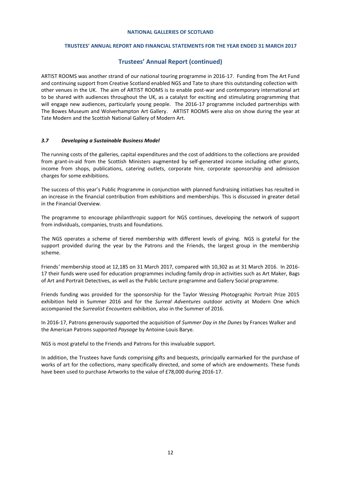## **TRUSTEES' ANNUAL REPORT AND FINANCIAL STATEMENTS FOR THE YEAR ENDED 31 MARCH 2017**

## **Trustees' Annual Report (continued)**

ARTIST ROOMS was another strand of our national touring programme in 2016-17. Funding from The Art Fund and continuing support from Creative Scotland enabled NGS and Tate to share this outstanding collection with other venues in the UK. The aim of ARTIST ROOMS is to enable post-war and contemporary international art to be shared with audiences throughout the UK, as a catalyst for exciting and stimulating programming that will engage new audiences, particularly young people. The 2016-17 programme included partnerships with The Bowes Museum and Wolverhampton Art Gallery. ARTIST ROOMS were also on show during the year at Tate Modern and the Scottish National Gallery of Modern Art.

## *3.7 Developing a Sustainable Business Model*

The running costs of the galleries, capital expenditures and the cost of additions to the collections are provided from grant-in-aid from the Scottish Ministers augmented by self-generated income including other grants, income from shops, publications, catering outlets, corporate hire, corporate sponsorship and admission charges for some exhibitions.

The success of this year's Public Programme in conjunction with planned fundraising initiatives has resulted in an increase in the financial contribution from exhibitions and memberships. This is discussed in greater detail in the Financial Overview.

The programme to encourage philanthropic support for NGS continues, developing the network of support from individuals, companies, trusts and foundations.

The NGS operates a scheme of tiered membership with different levels of giving. NGS is grateful for the support provided during the year by the Patrons and the Friends, the largest group in the membership scheme.

Friends*'* membership stood at 12,185 on 31 March 2017, compared with 10,302 as at 31 March 2016. In 2016- 17 their funds were used for education programmes including family drop-in activities such as Art Maker, Bags of Art and Portrait Detectives, as well as the Public Lecture programme and Gallery Social programme.

Friends funding was provided for the sponsorship for the Taylor Wessing Photographic Portrait Prize 2015 exhibition held in Summer 2016 and for the *Surreal Adventures* outdoor activity at Modern One which accompanied the *Surrealist Encounters* exhibition, also in the Summer of 2016.

In 2016-17, Patrons generously supported the acquisition of *Summer Day in the Dunes* by Frances Walker and the American Patrons supported *Paysage* by Antoine-Louis Barye.

NGS is most grateful to the Friends and Patrons for this invaluable support.

In addition, the Trustees have funds comprising gifts and bequests, principally earmarked for the purchase of works of art for the collections, many specifically directed, and some of which are endowments. These funds have been used to purchase Artworks to the value of £78,000 during 2016-17.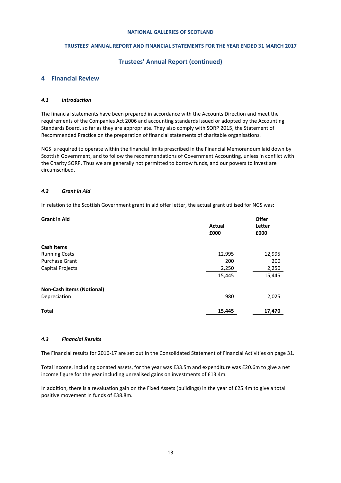## **TRUSTEES' ANNUAL REPORT AND FINANCIAL STATEMENTS FOR THE YEAR ENDED 31 MARCH 2017**

## **Trustees' Annual Report (continued)**

## **4 Financial Review**

## *4.1 Introduction*

The financial statements have been prepared in accordance with the Accounts Direction and meet the requirements of the Companies Act 2006 and accounting standards issued or adopted by the Accounting Standards Board, so far as they are appropriate. They also comply with SORP 2015, the Statement of Recommended Practice on the preparation of financial statements of charitable organisations.

NGS is required to operate within the financial limits prescribed in the Financial Memorandum laid down by Scottish Government, and to follow the recommendations of Government Accounting, unless in conflict with the Charity SORP. Thus we are generally not permitted to borrow funds, and our powers to invest are circumscribed.

## *4.2 Grant in Aid*

In relation to the Scottish Government grant in aid offer letter, the actual grant utilised for NGS was:

| <b>Grant in Aid</b>              | Actual<br>£000 | <b>Offer</b><br>Letter<br>£000 |
|----------------------------------|----------------|--------------------------------|
| <b>Cash Items</b>                |                |                                |
| <b>Running Costs</b>             | 12,995         | 12,995                         |
| <b>Purchase Grant</b>            | 200            | 200                            |
| Capital Projects                 | 2,250          | 2,250                          |
|                                  | 15,445         | 15,445                         |
| <b>Non-Cash Items (Notional)</b> |                |                                |
| Depreciation                     | 980            | 2,025                          |
| <b>Total</b>                     | 15,445         | 17,470                         |

## *4.3 Financial Results*

The Financial results for 2016-17 are set out in the Consolidated Statement of Financial Activities on page 31.

Total income, including donated assets, for the year was £33.5m and expenditure was £20.6m to give a net income figure for the year including unrealised gains on investments of £13.4m.

In addition, there is a revaluation gain on the Fixed Assets (buildings) in the year of £25.4m to give a total positive movement in funds of £38.8m.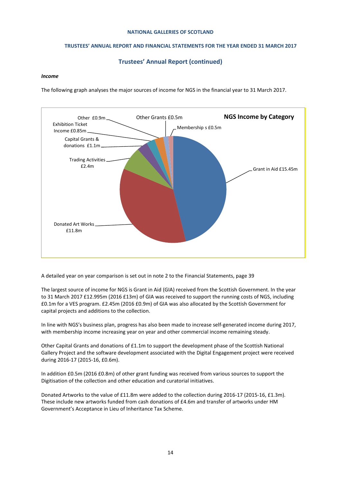## **TRUSTEES' ANNUAL REPORT AND FINANCIAL STATEMENTS FOR THE YEAR ENDED 31 MARCH 2017**

## **Trustees' Annual Report (continued)**

#### *Income*

The following graph analyses the major sources of income for NGS in the financial year to 31 March 2017.



A detailed year on year comparison is set out in note 2 to the Financial Statements, page 39

The largest source of income for NGS is Grant in Aid (GIA) received from the Scottish Government. In the year to 31 March 2017 £12.995m (2016 £13m) of GIA was received to support the running costs of NGS, including £0.1m for a VES program. £2.45m (2016 £0.9m) of GIA was also allocated by the Scottish Government for capital projects and additions to the collection.

In line with NGS's business plan, progress has also been made to increase self-generated income during 2017, with membership income increasing year on year and other commercial income remaining steady.

Other Capital Grants and donations of £1.1m to support the development phase of the Scottish National Gallery Project and the software development associated with the Digital Engagement project were received during 2016-17 (2015-16, £0.6m).

In addition £0.5m (2016 £0.8m) of other grant funding was received from various sources to support the Digitisation of the collection and other education and curatorial initiatives.

Donated Artworks to the value of £11.8m were added to the collection during 2016-17 (2015-16, £1.3m). These include new artworks funded from cash donations of £4.6m and transfer of artworks under HM Government's Acceptance in Lieu of Inheritance Tax Scheme.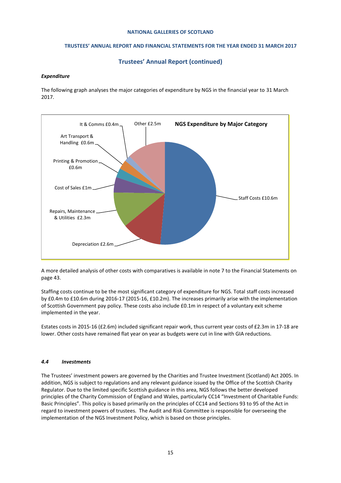## **TRUSTEES' ANNUAL REPORT AND FINANCIAL STATEMENTS FOR THE YEAR ENDED 31 MARCH 2017**

## **Trustees' Annual Report (continued)**

## *Expenditure*

The following graph analyses the major categories of expenditure by NGS in the financial year to 31 March 2017.



A more detailed analysis of other costs with comparatives is available in note 7 to the Financial Statements on page 43.

Staffing costs continue to be the most significant category of expenditure for NGS. Total staff costs increased by £0.4m to £10.6m during 2016-17 (2015-16, £10.2m). The increases primarily arise with the implementation of Scottish Government pay policy. These costs also include £0.1m in respect of a voluntary exit scheme implemented in the year.

Estates costs in 2015-16 (£2.6m) included significant repair work, thus current year costs of £2.3m in 17-18 are lower. Other costs have remained flat year on year as budgets were cut in line with GIA reductions.

## *4.4 Investments*

The Trustees' investment powers are governed by the Charities and Trustee Investment (Scotland) Act 2005. In addition, NGS is subject to regulations and any relevant guidance issued by the Office of the Scottish Charity Regulator. Due to the limited specific Scottish guidance in this area, NGS follows the better developed principles of the Charity Commission of England and Wales, particularly CC14 "Investment of Charitable Funds: Basic Principles". This policy is based primarily on the principles of CC14 and Sections 93 to 95 of the Act in regard to investment powers of trustees. The Audit and Risk Committee is responsible for overseeing the implementation of the NGS Investment Policy, which is based on those principles.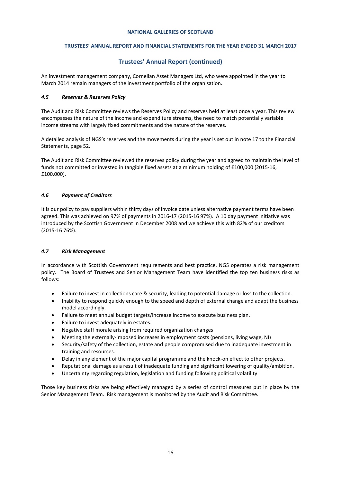## **TRUSTEES' ANNUAL REPORT AND FINANCIAL STATEMENTS FOR THE YEAR ENDED 31 MARCH 2017**

## **Trustees' Annual Report (continued)**

An investment management company, Cornelian Asset Managers Ltd, who were appointed in the year to March 2014 remain managers of the investment portfolio of the organisation.

## *4.5 Reserves & Reserves Policy*

The Audit and Risk Committee reviews the Reserves Policy and reserves held at least once a year. This review encompasses the nature of the income and expenditure streams, the need to match potentially variable income streams with largely fixed commitments and the nature of the reserves.

A detailed analysis of NGS's reserves and the movements during the year is set out in note 17 to the Financial Statements, page 52.

The Audit and Risk Committee reviewed the reserves policy during the year and agreed to maintain the level of funds not committed or invested in tangible fixed assets at a minimum holding of £100,000 (2015-16, £100,000).

## *4.6 Payment of Creditors*

It is our policy to pay suppliers within thirty days of invoice date unless alternative payment terms have been agreed. This was achieved on 97% of payments in 2016-17 (2015-16 97%). A 10 day payment initiative was introduced by the Scottish Government in December 2008 and we achieve this with 82% of our creditors (2015-16 76%).

## *4.7 Risk Management*

In accordance with Scottish Government requirements and best practice, NGS operates a risk management policy. The Board of Trustees and Senior Management Team have identified the top ten business risks as follows:

- Failure to invest in collections care & security, leading to potential damage or loss to the collection.
- Inability to respond quickly enough to the speed and depth of external change and adapt the business model accordingly.
- Failure to meet annual budget targets/increase income to execute business plan.
- Failure to invest adequately in estates.
- Negative staff morale arising from required organization changes
- Meeting the externally-imposed increases in employment costs (pensions, living wage, NI)
- Security/safety of the collection, estate and people compromised due to inadequate investment in training and resources.
- Delay in any element of the major capital programme and the knock-on effect to other projects.
- Reputational damage as a result of inadequate funding and significant lowering of quality/ambition.
- Uncertainty regarding regulation, legislation and funding following political volatility

Those key business risks are being effectively managed by a series of control measures put in place by the Senior Management Team. Risk management is monitored by the Audit and Risk Committee.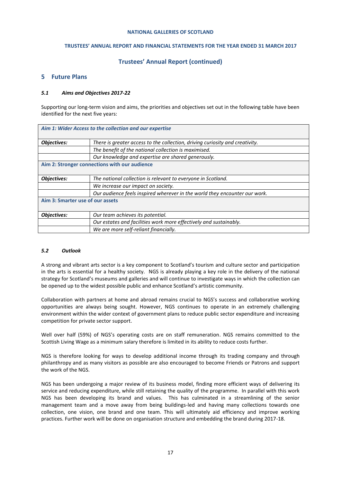#### **TRUSTEES' ANNUAL REPORT AND FINANCIAL STATEMENTS FOR THE YEAR ENDED 31 MARCH 2017**

## **Trustees' Annual Report (continued)**

## **5 Future Plans**

#### *5.1 Aims and Objectives 2017-22*

Supporting our long-term vision and aims, the priorities and objectives set out in the following table have been identified for the next five years:

| Aim 1: Wider Access to the collection and our expertise                      |  |  |  |  |
|------------------------------------------------------------------------------|--|--|--|--|
|                                                                              |  |  |  |  |
| There is greater access to the collection, driving curiosity and creativity. |  |  |  |  |
| The benefit of the national collection is maximised.                         |  |  |  |  |
| Our knowledge and expertise are shared generously.                           |  |  |  |  |
| Aim 2: Stronger connections with our audience                                |  |  |  |  |
|                                                                              |  |  |  |  |
| The national collection is relevant to everyone in Scotland.                 |  |  |  |  |
| We increase our impact on society.                                           |  |  |  |  |
| Our audience feels inspired wherever in the world they encounter our work.   |  |  |  |  |
| Aim 3: Smarter use of our assets                                             |  |  |  |  |
|                                                                              |  |  |  |  |
| Our team achieves its potential.                                             |  |  |  |  |
| Our estates and facilities work more effectively and sustainably.            |  |  |  |  |
| We are more self-reliant financially.                                        |  |  |  |  |
|                                                                              |  |  |  |  |

#### *5.2 Outlook*

A strong and vibrant arts sector is a key component to Scotland's tourism and culture sector and participation in the arts is essential for a healthy society. NGS is already playing a key role in the delivery of the national strategy for Scotland's museums and galleries and will continue to investigate ways in which the collection can be opened up to the widest possible public and enhance Scotland's artistic community.

Collaboration with partners at home and abroad remains crucial to NGS's success and collaborative working opportunities are always being sought. However, NGS continues to operate in an extremely challenging environment within the wider context of government plans to reduce public sector expenditure and increasing competition for private sector support.

Well over half (59%) of NGS's operating costs are on staff remuneration. NGS remains committed to the Scottish Living Wage as a minimum salary therefore is limited in its ability to reduce costs further.

NGS is therefore looking for ways to develop additional income through its trading company and through philanthropy and as many visitors as possible are also encouraged to become Friends or Patrons and support the work of the NGS.

NGS has been undergoing a major review of its business model, finding more efficient ways of delivering its service and reducing expenditure, while still retaining the quality of the programme. In parallel with this work NGS has been developing its brand and values. This has culminated in a streamlining of the senior management team and a move away from being buildings-led and having many collections towards one collection, one vision, one brand and one team. This will ultimately aid efficiency and improve working practices. Further work will be done on organisation structure and embedding the brand during 2017-18.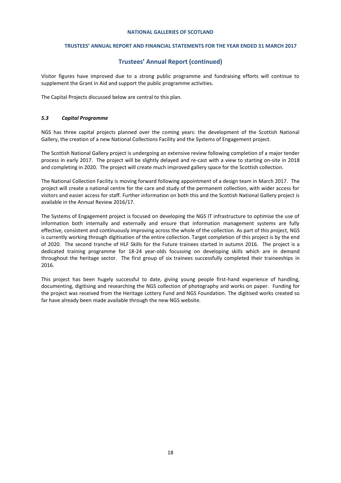#### **TRUSTEES' ANNUAL REPORT AND FINANCIAL STATEMENTS FOR THE YEAR ENDED 31 MARCH 2017**

## **Trustees' Annual Report (continued)**

Visitor figures have improved due to a strong public programme and fundraising efforts will continue to supplement the Grant in Aid and support the public programme activities.

The Capital Projects discussed below are central to this plan.

#### *5.3 Capital Programme*

NGS has three capital projects planned over the coming years: the development of the Scottish National Gallery, the creation of a new National Collections Facility and the Systems of Engagement project.

The Scottish National Gallery project is undergoing an extensive review following completion of a major tender process in early 2017. The project will be slightly delayed and re-cast with a view to starting on-site in 2018 and completing in 2020. The project will create much improved gallery space for the Scottish collection.

The National Collection Facility is moving forward following appointment of a design team in March 2017. The project will create a national centre for the care and study of the permanent collection, with wider access for visitors and easier access for staff. Further information on both this and the Scottish National Gallery project is available in the Annual Review 2016/17.

The Systems of Engagement project is focused on developing the NGS IT infrastructure to optimise the use of information both internally and externally and ensure that information management systems are fully effective, consistent and continuously improving across the whole of the collection. As part of this project, NGS is currently working through digitisation of the entire collection. Target completion of this project is by the end of 2020. The second tranche of HLF Skills for the Future trainees started in autumn 2016. The project is a dedicated training programme for 18-24 year-olds focussing on developing skills which are in demand throughout the heritage sector. The first group of six trainees successfully completed their traineeships in 2016.

This project has been hugely successful to date, giving young people first-hand experience of handling, documenting, digitising and researching the NGS collection of photography and works on paper. Funding for the project was received from the Heritage Lottery Fund and NGS Foundation. The digitised works created so far have already been made available through the new NGS website.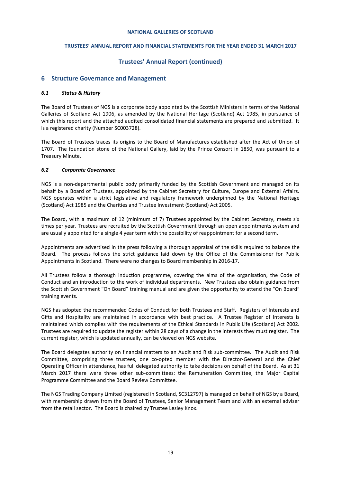## **TRUSTEES' ANNUAL REPORT AND FINANCIAL STATEMENTS FOR THE YEAR ENDED 31 MARCH 2017**

## **Trustees' Annual Report (continued)**

## **6 Structure Governance and Management**

#### *6.1 Status & History*

The Board of Trustees of NGS is a corporate body appointed by the Scottish Ministers in terms of the National Galleries of Scotland Act 1906, as amended by the National Heritage (Scotland) Act 1985, in pursuance of which this report and the attached audited consolidated financial statements are prepared and submitted. It is a registered charity (Number SC003728).

The Board of Trustees traces its origins to the Board of Manufactures established after the Act of Union of 1707. The foundation stone of the National Gallery, laid by the Prince Consort in 1850, was pursuant to a Treasury Minute.

## *6.2 Corporate Governance*

NGS is a non-departmental public body primarily funded by the Scottish Government and managed on its behalf by a Board of Trustees, appointed by the Cabinet Secretary for Culture, Europe and External Affairs. NGS operates within a strict legislative and regulatory framework underpinned by the National Heritage (Scotland) Act 1985 and the Charities and Trustee Investment (Scotland) Act 2005.

The Board, with a maximum of 12 (minimum of 7) Trustees appointed by the Cabinet Secretary, meets six times per year. Trustees are recruited by the Scottish Government through an open appointments system and are usually appointed for a single 4 year term with the possibility of reappointment for a second term.

Appointments are advertised in the press following a thorough appraisal of the skills required to balance the Board. The process follows the strict guidance laid down by the Office of the Commissioner for Public Appointments in Scotland. There were no changes to Board membership in 2016-17.

All Trustees follow a thorough induction programme, covering the aims of the organisation, the Code of Conduct and an introduction to the work of individual departments. New Trustees also obtain guidance from the Scottish Government "On Board" training manual and are given the opportunity to attend the "On Board" training events.

NGS has adopted the recommended Codes of Conduct for both Trustees and Staff. Registers of Interests and Gifts and Hospitality are maintained in accordance with best practice. A Trustee Register of Interests is maintained which complies with the requirements of the Ethical Standards in Public Life (Scotland) Act 2002. Trustees are required to update the register within 28 days of a change in the interests they must register. The current register, which is updated annually, can be viewed on NGS website.

The Board delegates authority on financial matters to an Audit and Risk sub-committee. The Audit and Risk Committee, comprising three trustees, one co-opted member with the Director-General and the Chief Operating Officer in attendance, has full delegated authority to take decisions on behalf of the Board. As at 31 March 2017 there were three other sub-committees: the Remuneration Committee, the Major Capital Programme Committee and the Board Review Committee.

The NGS Trading Company Limited (registered in Scotland, SC312797) is managed on behalf of NGS by a Board, with membership drawn from the Board of Trustees, Senior Management Team and with an external adviser from the retail sector. The Board is chaired by Trustee Lesley Knox.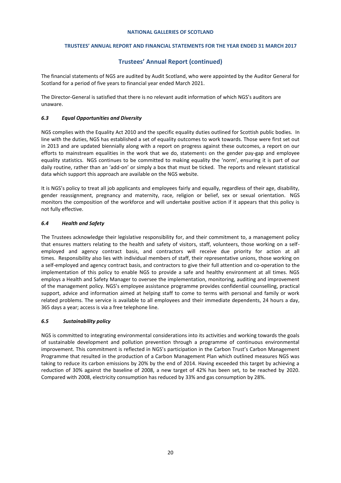## **TRUSTEES' ANNUAL REPORT AND FINANCIAL STATEMENTS FOR THE YEAR ENDED 31 MARCH 2017**

## **Trustees' Annual Report (continued)**

The financial statements of NGS are audited by Audit Scotland, who were appointed by the Auditor General for Scotland for a period of five years to financial year ended March 2021.

The Director-General is satisfied that there is no relevant audit information of which NGS's auditors are unaware.

## *6.3 Equal Opportunities and Diversity*

NGS complies with the Equality Act 2010 and the specific equality duties outlined for Scottish public bodies. In line with the duties, NGS has established a set of equality outcomes to work towards. Those were first set out in 2013 and are updated biennially along with a report on progress against these outcomes, a report on our efforts to mainstream equalities in the work that we do, statements on the gender pay-gap and employee equality statistics. NGS continues to be committed to making equality the 'norm', ensuring it is part of our daily routine, rather than an 'add-on' or simply a box that must be ticked. The reports and relevant statistical data which support this approach are available on the NGS website.

It is NGS's policy to treat all job applicants and employees fairly and equally, regardless of their age, disability, gender reassignment, pregnancy and maternity, race, religion or belief, sex or sexual orientation. NGS monitors the composition of the workforce and will undertake positive action if it appears that this policy is not fully effective.

## *6.4 Health and Safety*

The Trustees acknowledge their legislative responsibility for, and their commitment to, a management policy that ensures matters relating to the health and safety of visitors, staff, volunteers, those working on a selfemployed and agency contract basis, and contractors will receive due priority for action at all times. Responsibility also lies with individual members of staff, their representative unions, those working on a self-employed and agency contract basis, and contractors to give their full attention and co-operation to the implementation of this policy to enable NGS to provide a safe and healthy environment at all times. NGS employs a Health and Safety Manager to oversee the implementation, monitoring, auditing and improvement of the management policy. NGS's employee assistance programme provides confidential counselling, practical support, advice and information aimed at helping staff to come to terms with personal and family or work related problems. The service is available to all employees and their immediate dependents, 24 hours a day, 365 days a year; access is via a free telephone line.

## *6.5 Sustainability policy*

NGS is committed to integrating environmental considerations into its activities and working towards the goals of sustainable development and pollution prevention through a programme of continuous environmental improvement. This commitment is reflected in NGS's participation in the Carbon Trust's Carbon Management Programme that resulted in the production of a Carbon Management Plan which outlined measures NGS was taking to reduce its carbon emissions by 20% by the end of 2014. Having exceeded this target by achieving a reduction of 30% against the baseline of 2008, a new target of 42% has been set, to be reached by 2020. Compared with 2008, electricity consumption has reduced by 33% and gas consumption by 28%.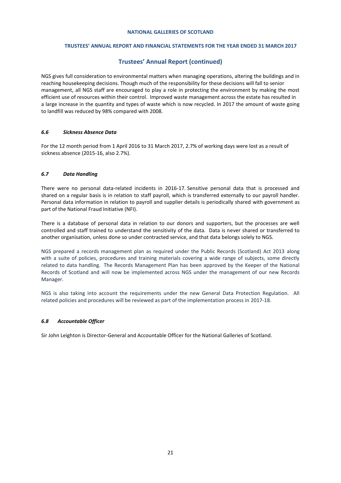#### **TRUSTEES' ANNUAL REPORT AND FINANCIAL STATEMENTS FOR THE YEAR ENDED 31 MARCH 2017**

## **Trustees' Annual Report (continued)**

NGS gives full consideration to environmental matters when managing operations, altering the buildings and in reaching housekeeping decisions. Though much of the responsibility for these decisions will fall to senior management, all NGS staff are encouraged to play a role in protecting the environment by making the most efficient use of resources within their control. Improved waste management across the estate has resulted in a large increase in the quantity and types of waste which is now recycled. In 2017 the amount of waste going to landfill was reduced by 98% compared with 2008.

#### *6.6 Sickness Absence Data*

For the 12 month period from 1 April 2016 to 31 March 2017, 2.7% of working days were lost as a result of sickness absence (2015-16, also 2.7%).

#### *6.7 Data Handling*

There were no personal data-related incidents in 2016-17. Sensitive personal data that is processed and shared on a regular basis is in relation to staff payroll, which is transferred externally to our payroll handler. Personal data information in relation to payroll and supplier details is periodically shared with government as part of the National Fraud Initiative (NFI).

There is a database of personal data in relation to our donors and supporters, but the processes are well controlled and staff trained to understand the sensitivity of the data. Data is never shared or transferred to another organisation, unless done so under contracted service, and that data belongs solely to NGS.

NGS prepared a records management plan as required under the Public Records (Scotland) Act 2013 along with a suite of policies, procedures and training materials covering a wide range of subjects, some directly related to data handling. The Records Management Plan has been approved by the Keeper of the National Records of Scotland and will now be implemented across NGS under the management of our new Records Manager.

NGS is also taking into account the requirements under the new General Data Protection Regulation. All related policies and procedures will be reviewed as part of the implementation process in 2017-18.

## *6.8 Accountable Officer*

Sir John Leighton is Director-General and Accountable Officer for the National Galleries of Scotland.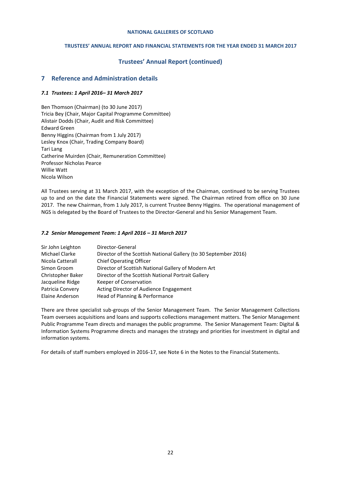## **TRUSTEES' ANNUAL REPORT AND FINANCIAL STATEMENTS FOR THE YEAR ENDED 31 MARCH 2017**

## **Trustees' Annual Report (continued)**

## **7 Reference and Administration details**

## *7.1 Trustees: 1 April 2016– 31 March 2017*

Ben Thomson (Chairman) (to 30 June 2017) Tricia Bey (Chair, Major Capital Programme Committee) Alistair Dodds (Chair, Audit and Risk Committee) Edward Green Benny Higgins (Chairman from 1 July 2017) Lesley Knox (Chair, Trading Company Board) Tari Lang Catherine Muirden (Chair, Remuneration Committee) Professor Nicholas Pearce Willie Watt Nicola Wilson

All Trustees serving at 31 March 2017, with the exception of the Chairman, continued to be serving Trustees up to and on the date the Financial Statements were signed. The Chairman retired from office on 30 June 2017. The new Chairman, from 1 July 2017, is current Trustee Benny Higgins. The operational management of NGS is delegated by the Board of Trustees to the Director-General and his Senior Management Team.

## *7.2 Senior Management Team: 1 April 2016 – 31 March 2017*

| Sir John Leighton | Director-General                                                 |
|-------------------|------------------------------------------------------------------|
| Michael Clarke    | Director of the Scottish National Gallery (to 30 September 2016) |
| Nicola Catterall  | <b>Chief Operating Officer</b>                                   |
| Simon Groom       | Director of Scottish National Gallery of Modern Art              |
| Christopher Baker | Director of the Scottish National Portrait Gallery               |
| Jacqueline Ridge  | Keeper of Conservation                                           |
| Patricia Convery  | Acting Director of Audience Engagement                           |
| Elaine Anderson   | Head of Planning & Performance                                   |

There are three specialist sub-groups of the Senior Management Team. The Senior Management Collections Team oversees acquisitions and loans and supports collections management matters. The Senior Management Public Programme Team directs and manages the public programme. The Senior Management Team: Digital & Information Systems Programme directs and manages the strategy and priorities for investment in digital and information systems.

For details of staff numbers employed in 2016-17, see Note 6 in the Notes to the Financial Statements.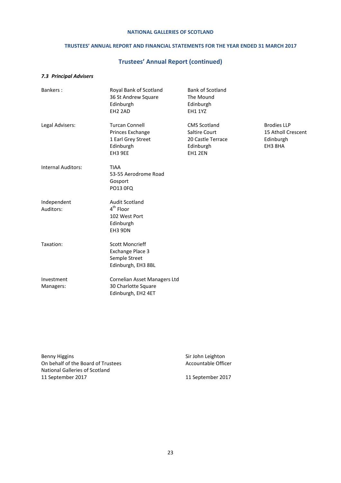## **TRUSTEES' ANNUAL REPORT AND FINANCIAL STATEMENTS FOR THE YEAR ENDED 31 MARCH 2017**

# **Trustees' Annual Report (continued)**

## *7.3 Principal Advisers*

| Bankers:                  | Royal Bank of Scotland<br>36 St Andrew Square<br>Edinburgh<br>EH <sub>2</sub> 2AD       | <b>Bank of Scotland</b><br>The Mound<br>Edinburgh<br><b>EH1 1YZ</b>               |                                                                  |
|---------------------------|-----------------------------------------------------------------------------------------|-----------------------------------------------------------------------------------|------------------------------------------------------------------|
| Legal Advisers:           | <b>Turcan Connell</b><br>Princes Exchange<br>1 Earl Grey Street<br>Edinburgh<br>EH3 9EE | <b>CMS Scotland</b><br>Saltire Court<br>20 Castle Terrace<br>Edinburgh<br>EH1 2EN | <b>Brodies LLP</b><br>15 Atholl Crescent<br>Edinburgh<br>EH3 8HA |
| <b>Internal Auditors:</b> | <b>TIAA</b><br>53-55 Aerodrome Road<br>Gosport<br>PO13 0FQ                              |                                                                                   |                                                                  |
| Independent<br>Auditors:  | <b>Audit Scotland</b><br>$4th$ Floor<br>102 West Port<br>Edinburgh<br>EH3 9DN           |                                                                                   |                                                                  |
| Taxation:                 | <b>Scott Moncrieff</b><br>Exchange Place 3<br>Semple Street<br>Edinburgh, EH3 8BL       |                                                                                   |                                                                  |
| Investment<br>Managers:   | Cornelian Asset Managers Ltd<br>30 Charlotte Square<br>Edinburgh, EH2 4ET               |                                                                                   |                                                                  |

Benny Higgins<br>
On behalf of the Board of Trustees<br>
On behalf of the Board of Trustees<br>
Sir John Leighton On behalf of the Board of Trustees National Galleries of Scotland 11 September 2017 11 September 2017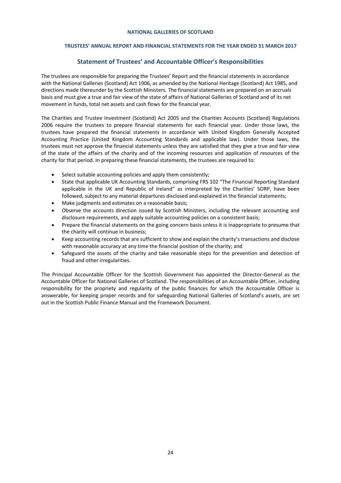## **TRUSTEES' ANNUAL REPORT AND FINANCIAL STATEMENTS FOR THE YEAR ENDED 31 MARCH 2017**

## **Statement of Trustees' and Accountable Officer's Responsibilities**

The trustees are responsible for preparing the Trustees' Report and the financial statements in accordance with the National Galleries (Scotland) Act 1906, as amended by the National Heritage (Scotland) Act 1985, and directions made thereunder by the Scottish Ministers. The financial statements are prepared on an accruals basis and must give a true and fair view of the state of affairs of National Galleries of Scotland and of its net movement in funds, total net assets and cash flows for the financial year.

The Charities and Trustee Investment (Scotland) Act 2005 and the Charities Accounts (Scotland) Regulations 2006 require the trustees to prepare financial statements for each financial year. Under those laws, the trustees have prepared the financial statements in accordance with United Kingdom Generally Accepted Accounting Practice (United Kingdom Accounting Standards and applicable law). Under those laws, the trustees must not approve the financial statements unless they are satisfied that they give a true and fair view of the state of the affairs of the charity and of the incoming resources and application of resources of the charity for that period. In preparing these financial statements, the trustees are required to:

- Select suitable accounting policies and apply them consistently;
- State that applicable UK Accounting Standards, comprising FRS 102 "The Financial Reporting Standard applicable in the UK and Republic of Ireland" as interpreted by the Charities' SORP, have been followed, subject to any material departures disclosed and explained in the financial statements;
- Make judgments and estimates on a reasonable basis;
- Observe the accounts direction issued by Scottish Ministers, including the relevant accounting and disclosure requirements, and apply suitable accounting policies on a consistent basis;
- Prepare the financial statements on the going concern basis unless it is inappropriate to presume that the charity will continue in business;
- Keep accounting records that are sufficient to show and explain the charity's transactions and disclose with reasonable accuracy at any time the financial position of the charity; and
- Safeguard the assets of the charity and take reasonable steps for the prevention and detection of fraud and other irregularities.

The Principal Accountable Officer for the Scottish Government has appointed the Director-General as the Accountable Officer for National Galleries of Scotland. The responsibilities of an Accountable Officer, including responsibility for the propriety and regularity of the public finances for which the Accountable Officer is answerable, for keeping proper records and for safeguarding National Galleries of Scotland's assets, are set out in the Scottish Public Finance Manual and the Framework Document.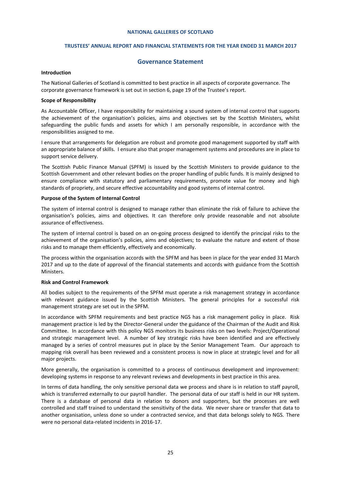#### **TRUSTEES' ANNUAL REPORT AND FINANCIAL STATEMENTS FOR THE YEAR ENDED 31 MARCH 2017**

#### **Governance Statement**

#### <span id="page-24-0"></span>**Introduction**

The National Galleries of Scotland is committed to best practice in all aspects of corporate governance. The corporate governance framework is set out in section 6, page 19 of the Trustee's report.

#### **Scope of Responsibility**

As Accountable Officer, I have responsibility for maintaining a sound system of internal control that supports the achievement of the organisation's policies, aims and objectives set by the Scottish Ministers, whilst safeguarding the public funds and assets for which I am personally responsible, in accordance with the responsibilities assigned to me.

I ensure that arrangements for delegation are robust and promote good management supported by staff with an appropriate balance of skills. I ensure also that proper management systems and procedures are in place to support service delivery.

The Scottish Public Finance Manual (SPFM) is issued by the Scottish Ministers to provide guidance to the Scottish Government and other relevant bodies on the proper handling of public funds. It is mainly designed to ensure compliance with statutory and parliamentary requirements, promote value for money and high standards of propriety, and secure effective accountability and good systems of internal control.

#### **Purpose of the System of Internal Control**

The system of internal control is designed to manage rather than eliminate the risk of failure to achieve the organisation's policies, aims and objectives. It can therefore only provide reasonable and not absolute assurance of effectiveness.

The system of internal control is based on an on-going process designed to identify the principal risks to the achievement of the organisation's policies, aims and objectives; to evaluate the nature and extent of those risks and to manage them efficiently, effectively and economically.

The process within the organisation accords with the SPFM and has been in place for the year ended 31 March 2017 and up to the date of approval of the financial statements and accords with guidance from the Scottish Ministers.

#### **Risk and Control Framework**

All bodies subject to the requirements of the SPFM must operate a risk management strategy in accordance with relevant guidance issued by the Scottish Ministers. The general principles for a successful risk management strategy are set out in the SPFM.

In accordance with SPFM requirements and best practice NGS has a risk management policy in place. Risk management practice is led by the Director-General under the guidance of the Chairman of the Audit and Risk Committee. In accordance with this policy NGS monitors its business risks on two levels: Project/Operational and strategic management level. A number of key strategic risks have been identified and are effectively managed by a series of control measures put in place by the Senior Management Team. Our approach to mapping risk overall has been reviewed and a consistent process is now in place at strategic level and for all major projects.

More generally, the organisation is committed to a process of continuous development and improvement: developing systems in response to any relevant reviews and developments in best practice in this area.

In terms of data handling, the only sensitive personal data we process and share is in relation to staff payroll, which is transferred externally to our payroll handler. The personal data of our staff is held in our HR system. There is a database of personal data in relation to donors and supporters, but the processes are well controlled and staff trained to understand the sensitivity of the data. We never share or transfer that data to another organisation, unless done so under a contracted service, and that data belongs solely to NGS. There were no personal data-related incidents in 2016-17.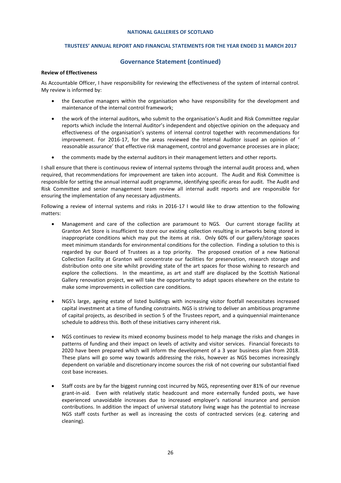## **TRUSTEES' ANNUAL REPORT AND FINANCIAL STATEMENTS FOR THE YEAR ENDED 31 MARCH 2017**

## **Governance Statement (continued)**

#### **Review of Effectiveness**

As Accountable Officer, I have responsibility for reviewing the effectiveness of the system of internal control. My review is informed by:

- the Executive managers within the organisation who have responsibility for the development and maintenance of the internal control framework;
- the work of the internal auditors, who submit to the organisation's Audit and Risk Committee regular reports which include the Internal Auditor's independent and objective opinion on the adequacy and effectiveness of the organisation's systems of internal control together with recommendations for improvement. For 2016-17, for the areas reviewed the Internal Auditor issued an opinion of ' reasonable assurance' that effective risk management, control and governance processes are in place;
- the comments made by the external auditors in their management letters and other reports.

I shall ensure that there is continuous review of internal systems through the internal audit process and, when required, that recommendations for improvement are taken into account. The Audit and Risk Committee is responsible for setting the annual internal audit programme, identifying specific areas for audit. The Audit and Risk Committee and senior management team review all internal audit reports and are responsible for ensuring the implementation of any necessary adjustments.

Following a review of internal systems and risks in 2016-17 I would like to draw attention to the following matters:

- Management and care of the collection are paramount to NGS. Our current storage facility at Granton Art Store is insufficient to store our existing collection resulting in artworks being stored in inappropriate conditions which may put the items at risk. Only 60% of our gallery/storage spaces meet minimum standards for environmental conditions for the collection. Finding a solution to this is regarded by our Board of Trustees as a top priority. The proposed creation of a new National Collection Facility at Granton will concentrate our facilities for preservation, research storage and distribution onto one site whilst providing state of the art spaces for those wishing to research and explore the collections. In the meantime, as art and staff are displaced by the Scottish National Gallery renovation project, we will take the opportunity to adapt spaces elsewhere on the estate to make some improvements in collection care conditions.
- NGS's large, ageing estate of listed buildings with increasing visitor footfall necessitates increased capital investment at a time of funding constraints. NGS is striving to deliver an ambitious programme of capital projects, as described in section 5 of the Trustees report, and a quinquennial maintenance schedule to address this. Both of these initiatives carry inherent risk.
- NGS continues to review its mixed economy business model to help manage the risks and changes in patterns of funding and their impact on levels of activity and visitor services. Financial forecasts to 2020 have been prepared which will inform the development of a 3 year business plan from 2018. These plans will go some way towards addressing the risks, however as NGS becomes increasingly dependent on variable and discretionary income sources the risk of not covering our substantial fixed cost base increases.
- Staff costs are by far the biggest running cost incurred by NGS, representing over 81% of our revenue grant-in-aid. Even with relatively static headcount and more externally funded posts, we have experienced unavoidable increases due to increased employer's national insurance and pension contributions. In addition the impact of universal statutory living wage has the potential to increase NGS staff costs further as well as increasing the costs of contracted services (e.g. catering and cleaning).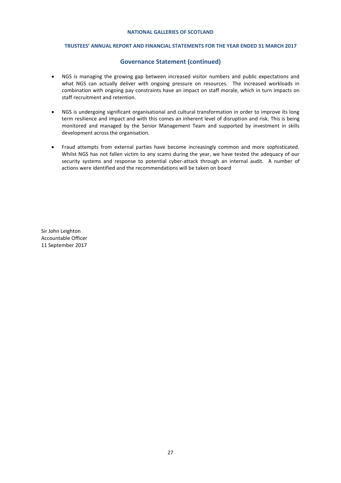#### **TRUSTEES' ANNUAL REPORT AND FINANCIAL STATEMENTS FOR THE YEAR ENDED 31 MARCH 2017**

## **Governance Statement (continued)**

- NGS is managing the growing gap between increased visitor numbers and public expectations and what NGS can actually deliver with ongoing pressure on resources. The increased workloads in combination with ongoing pay constraints have an impact on staff morale, which in turn impacts on staff recruitment and retention.
- NGS is undergoing significant organisational and cultural transformation in order to improve its long term resilience and impact and with this comes an inherent level of disruption and risk. This is being monitored and managed by the Senior Management Team and supported by investment in skills development across the organisation.
- Fraud attempts from external parties have become increasingly common and more sophisticated. Whilst NGS has not fallen victim to any scams during the year, we have tested the adequacy of our security systems and response to potential cyber-attack through an internal audit. A number of actions were identified and the recommendations will be taken on board

Sir John Leighton Accountable Officer 11 September 2017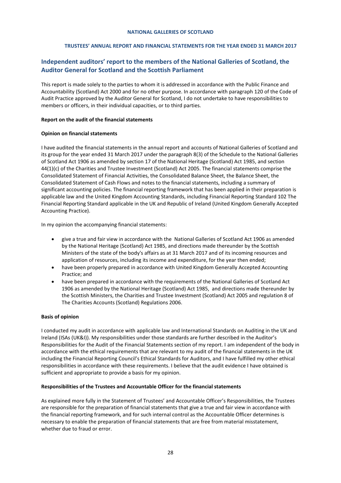## **TRUSTEES' ANNUAL REPORT AND FINANCIAL STATEMENTS FOR THE YEAR ENDED 31 MARCH 2017**

# <span id="page-27-0"></span>**Independent auditors' report to the members of the National Galleries of Scotland, the Auditor General for Scotland and the Scottish Parliament**

This report is made solely to the parties to whom it is addressed in accordance with the Public Finance and Accountability (Scotland) Act 2000 and for no other purpose. In accordance with paragraph 120 of the Code of Audit Practice approved by the Auditor General for Scotland, I do not undertake to have responsibilities to members or officers, in their individual capacities, or to third parties.

#### **Report on the audit of the financial statements**

## **Opinion on financial statements**

I have audited the financial statements in the annual report and accounts of National Galleries of Scotland and its group for the year ended 31 March 2017 under the paragraph 8(3) of the Schedule to the National Galleries of Scotland Act 1906 as amended by section 17 of the National Heritage (Scotland) Act 1985, and section 44(1)(c) of the Charities and Trustee Investment (Scotland) Act 2005. The financial statements comprise the Consolidated Statement of Financial Activities, the Consolidated Balance Sheet, the Balance Sheet, the Consolidated Statement of Cash Flows and notes to the financial statements, including a summary of significant accounting policies. The financial reporting framework that has been applied in their preparation is applicable law and the United Kingdom Accounting Standards, including Financial Reporting Standard 102 The Financial Reporting Standard applicable in the UK and Republic of Ireland (United Kingdom Generally Accepted Accounting Practice).

In my opinion the accompanying financial statements:

- give a true and fair view in accordance with the National Galleries of Scotland Act 1906 as amended by the National Heritage (Scotland) Act 1985, and directions made thereunder by the Scottish Ministers of the state of the body's affairs as at 31 March 2017 and of its incoming resources and application of resources, including its income and expenditure, for the year then ended;
- have been properly prepared in accordance with United Kingdom Generally Accepted Accounting Practice; and
- have been prepared in accordance with the requirements of the National Galleries of Scotland Act 1906 as amended by the National Heritage (Scotland) Act 1985, and directions made thereunder by the Scottish Ministers, the Charities and Trustee Investment (Scotland) Act 2005 and regulation 8 of The Charities Accounts (Scotland) Regulations 2006.

## **Basis of opinion**

I conducted my audit in accordance with applicable law and International Standards on Auditing in the UK and Ireland (ISAs (UK&I)). My responsibilities under those standards are further described in the Auditor's Responsibilities for the Audit of the Financial Statements section of my report. I am independent of the body in accordance with the ethical requirements that are relevant to my audit of the financial statements in the UK including the Financial Reporting Council's Ethical Standards for Auditors, and I have fulfilled my other ethical responsibilities in accordance with these requirements. I believe that the audit evidence I have obtained is sufficient and appropriate to provide a basis for my opinion.

#### **Responsibilities of the Trustees and Accountable Officer for the financial statements**

As explained more fully in the Statement of Trustees' and Accountable Officer's Responsibilities, the Trustees are responsible for the preparation of financial statements that give a true and fair view in accordance with the financial reporting framework, and for such internal control as the Accountable Officer determines is necessary to enable the preparation of financial statements that are free from material misstatement, whether due to fraud or error.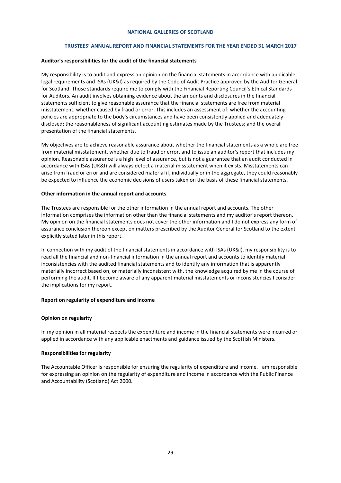#### **TRUSTEES' ANNUAL REPORT AND FINANCIAL STATEMENTS FOR THE YEAR ENDED 31 MARCH 2017**

#### **Auditor's responsibilities for the audit of the financial statements**

My responsibility is to audit and express an opinion on the financial statements in accordance with applicable legal requirements and ISAs (UK&I) as required by the Code of Audit Practice approved by the Auditor General for Scotland. Those standards require me to comply with the Financial Reporting Council's Ethical Standards for Auditors. An audit involves obtaining evidence about the amounts and disclosures in the financial statements sufficient to give reasonable assurance that the financial statements are free from material misstatement, whether caused by fraud or error. This includes an assessment of: whether the accounting policies are appropriate to the body's circumstances and have been consistently applied and adequately disclosed; the reasonableness of significant accounting estimates made by the Trustees; and the overall presentation of the financial statements.

My objectives are to achieve reasonable assurance about whether the financial statements as a whole are free from material misstatement, whether due to fraud or error, and to issue an auditor's report that includes my opinion. Reasonable assurance is a high level of assurance, but is not a guarantee that an audit conducted in accordance with ISAs (UK&I) will always detect a material misstatement when it exists. Misstatements can arise from fraud or error and are considered material if, individually or in the aggregate, they could reasonably be expected to influence the economic decisions of users taken on the basis of these financial statements.

#### **Other information in the annual report and accounts**

The Trustees are responsible for the other information in the annual report and accounts. The other information comprises the information other than the financial statements and my auditor's report thereon. My opinion on the financial statements does not cover the other information and I do not express any form of assurance conclusion thereon except on matters prescribed by the Auditor General for Scotland to the extent explicitly stated later in this report.

In connection with my audit of the financial statements in accordance with ISAs (UK&I), my responsibility is to read all the financial and non-financial information in the annual report and accounts to identify material inconsistencies with the audited financial statements and to identify any information that is apparently materially incorrect based on, or materially inconsistent with, the knowledge acquired by me in the course of performing the audit. If I become aware of any apparent material misstatements or inconsistencies I consider the implications for my report.

#### **Report on regularity of expenditure and income**

#### **Opinion on regularity**

In my opinion in all material respects the expenditure and income in the financial statements were incurred or applied in accordance with any applicable enactments and guidance issued by the Scottish Ministers.

#### **Responsibilities for regularity**

The Accountable Officer is responsible for ensuring the regularity of expenditure and income. I am responsible for expressing an opinion on the regularity of expenditure and income in accordance with the Public Finance and Accountability (Scotland) Act 2000.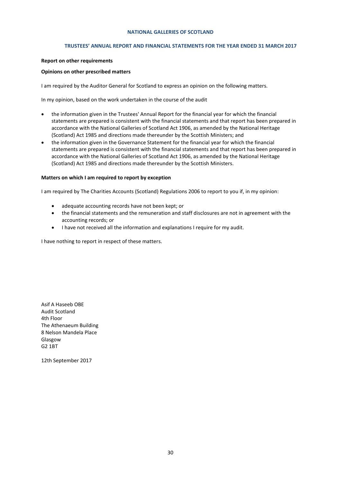#### **TRUSTEES' ANNUAL REPORT AND FINANCIAL STATEMENTS FOR THE YEAR ENDED 31 MARCH 2017**

#### **Report on other requirements**

#### **Opinions on other prescribed matters**

I am required by the Auditor General for Scotland to express an opinion on the following matters.

In my opinion, based on the work undertaken in the course of the audit

- the information given in the Trustees' Annual Report for the financial year for which the financial statements are prepared is consistent with the financial statements and that report has been prepared in accordance with the National Galleries of Scotland Act 1906, as amended by the National Heritage (Scotland) Act 1985 and directions made thereunder by the Scottish Ministers; and
- the information given in the Governance Statement for the financial year for which the financial statements are prepared is consistent with the financial statements and that report has been prepared in accordance with the National Galleries of Scotland Act 1906, as amended by the National Heritage (Scotland) Act 1985 and directions made thereunder by the Scottish Ministers.

#### **Matters on which I am required to report by exception**

I am required by The Charities Accounts (Scotland) Regulations 2006 to report to you if, in my opinion:

- adequate accounting records have not been kept; or
- the financial statements and the remuneration and staff disclosures are not in agreement with the accounting records; or
- I have not received all the information and explanations I require for my audit.

I have nothing to report in respect of these matters.

Asif A Haseeb OBE Audit Scotland 4th Floor The Athenaeum Building 8 Nelson Mandela Place Glasgow G2 1BT

12th September 2017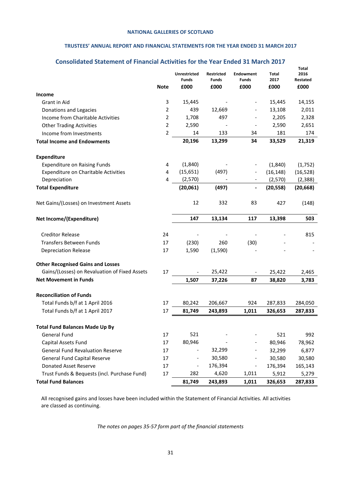## **TRUSTEES' ANNUAL REPORT AND FINANCIAL STATEMENTS FOR THE YEAR ENDED 31 MARCH 2017**

# **Consolidated Statement of Financial Activities for the Year Ended 31 March 2017**

<span id="page-30-0"></span>

|                                               |                | Unrestricted<br><b>Funds</b> | <b>Restricted</b><br>Funds | <b>Endowment</b><br><b>Funds</b> | Total<br>2017 | Total<br>2016<br>Restated |
|-----------------------------------------------|----------------|------------------------------|----------------------------|----------------------------------|---------------|---------------------------|
|                                               | <b>Note</b>    | £000                         | £000                       | £000                             | £000          | £000                      |
| <b>Income</b>                                 |                |                              |                            |                                  |               |                           |
| Grant in Aid                                  | 3              | 15,445                       |                            | $\qquad \qquad \blacksquare$     | 15,445        | 14,155                    |
| Donations and Legacies                        | $\overline{2}$ | 439                          | 12,669                     |                                  | 13,108        | 2,011                     |
| Income from Charitable Activities             | $\overline{2}$ | 1,708                        | 497                        | $\qquad \qquad \blacksquare$     | 2,205         | 2,328                     |
| <b>Other Trading Activities</b>               | $\overline{2}$ | 2,590                        |                            | $\overline{\phantom{a}}$         | 2,590         | 2,651                     |
| Income from Investments                       | $\overline{2}$ | 14                           | 133                        | 34                               | 181           | 174                       |
| <b>Total Income and Endowments</b>            |                | 20,196                       | 13,299                     | 34                               | 33,529        | 21,319                    |
| <b>Expenditure</b>                            |                |                              |                            |                                  |               |                           |
| <b>Expenditure on Raising Funds</b>           | 4              | (1,840)                      |                            |                                  | (1,840)       | (1,752)                   |
| <b>Expenditure on Charitable Activities</b>   | 4              | (15, 651)                    | (497)                      |                                  | (16, 148)     | (16, 528)                 |
| Depreciation                                  | 4              | (2,570)                      |                            |                                  | (2,570)       | (2, 388)                  |
| <b>Total Expenditure</b>                      |                | (20,061)                     | (497)                      | $\qquad \qquad \blacksquare$     | (20, 558)     | (20, 668)                 |
| Net Gains/(Losses) on Investment Assets       |                | 12                           | 332                        | 83                               | 427           | (148)                     |
| Net Income/(Expenditure)                      |                | 147                          | 13,134                     | 117                              | 13,398        | 503                       |
| <b>Creditor Release</b>                       | 24             |                              |                            |                                  |               | 815                       |
| <b>Transfers Between Funds</b>                | 17             | (230)                        | 260                        | (30)                             |               |                           |
| <b>Depreciation Release</b>                   | 17             | 1,590                        | (1,590)                    |                                  |               |                           |
| <b>Other Recognised Gains and Losses</b>      |                |                              |                            |                                  |               |                           |
| Gains/(Losses) on Revaluation of Fixed Assets | 17             |                              | 25,422                     | $\overline{\phantom{a}}$         | 25,422        | 2,465                     |
| <b>Net Movement in Funds</b>                  |                | 1,507                        | 37,226                     | 87                               | 38,820        | 3,783                     |
| <b>Reconciliation of Funds</b>                |                |                              |                            |                                  |               |                           |
| Total Funds b/f at 1 April 2016               | 17             | 80,242                       | 206,667                    | 924                              | 287,833       | 284,050                   |
| Total Funds b/f at 1 April 2017               | 17             | 81,749                       | 243,893                    | 1,011                            | 326,653       | 287,833                   |
| <b>Total Fund Balances Made Up By</b>         |                |                              |                            |                                  |               |                           |
| <b>General Fund</b>                           | 17             | 521                          |                            |                                  | 521           | 992                       |
| Capital Assets Fund                           | 17             | 80,946                       |                            |                                  | 80,946        | 78,962                    |
| <b>General Fund Revaluation Reserve</b>       | 17             |                              | 32,299                     |                                  | 32,299        | 6,877                     |
| <b>General Fund Capital Reserve</b>           | 17             |                              | 30,580                     |                                  | 30,580        | 30,580                    |
| Donated Asset Reserve                         | 17             |                              | 176,394                    | $\qquad \qquad \blacksquare$     | 176,394       | 165,143                   |
| Trust Funds & Bequests (incl. Purchase Fund)  | 17             | 282                          | 4,620                      | 1,011                            | 5,912         | 5,279                     |
| <b>Total Fund Balances</b>                    |                | 81,749                       | 243,893                    | 1,011                            | 326,653       | 287,833                   |

All recognised gains and losses have been included within the Statement of Financial Activities. All activities are classed as continuing.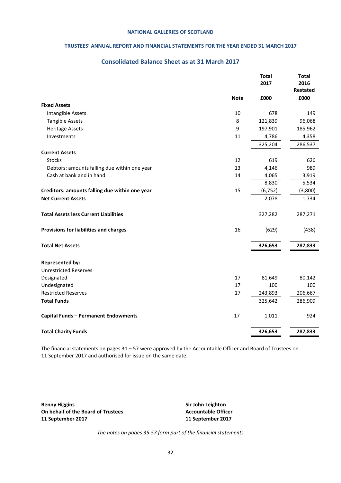## **TRUSTEES' ANNUAL REPORT AND FINANCIAL STATEMENTS FOR THE YEAR ENDED 31 MARCH 2017**

# **Consolidated Balance Sheet as at 31 March 2017**

<span id="page-31-0"></span>

|                                                |             | <b>Total</b><br>2017 | <b>Total</b><br>2016 |
|------------------------------------------------|-------------|----------------------|----------------------|
|                                                |             |                      | <b>Restated</b>      |
|                                                | <b>Note</b> | £000                 | £000                 |
| <b>Fixed Assets</b>                            |             |                      |                      |
| Intangible Assets                              | 10          | 678                  | 149                  |
| <b>Tangible Assets</b>                         | 8           | 121,839              | 96,068               |
| <b>Heritage Assets</b>                         | 9           | 197,901              | 185,962              |
| Investments                                    | 11          | 4,786                | 4,358                |
|                                                |             | 325,204              | 286,537              |
| <b>Current Assets</b>                          |             |                      |                      |
| <b>Stocks</b>                                  | 12          | 619                  | 626                  |
| Debtors: amounts falling due within one year   | 13          | 4,146                | 989                  |
| Cash at bank and in hand                       | 14          | 4,065                | 3,919                |
|                                                |             | 8,830                | 5,534                |
| Creditors: amounts falling due within one year | 15          | (6, 752)             | (3,800)              |
| <b>Net Current Assets</b>                      |             | 2,078                | 1,734                |
| <b>Total Assets less Current Liabilities</b>   |             | 327,282              | 287,271              |
| Provisions for liabilities and charges         | 16          | (629)                | (438)                |
| <b>Total Net Assets</b>                        |             | 326,653              | 287,833              |
| <b>Represented by:</b>                         |             |                      |                      |
| <b>Unrestricted Reserves</b>                   |             |                      |                      |
| Designated                                     | 17          | 81,649               | 80,142               |
| Undesignated                                   | 17          | 100                  | 100                  |
| <b>Restricted Reserves</b>                     | 17          | 243,893              | 206,667              |
| <b>Total Funds</b>                             |             | 325,642              | 286,909              |
| <b>Capital Funds - Permanent Endowments</b>    | 17          | 1,011                | 924                  |
| <b>Total Charity Funds</b>                     |             | 326,653              | 287,833              |

The financial statements on pages 31 – 57 were approved by the Accountable Officer and Board of Trustees on 11 September 2017 and authorised for issue on the same date.

**Benny Higgins Sir John Leighton On behalf of the Board of Trustees 11 September 2017 11 September 2017**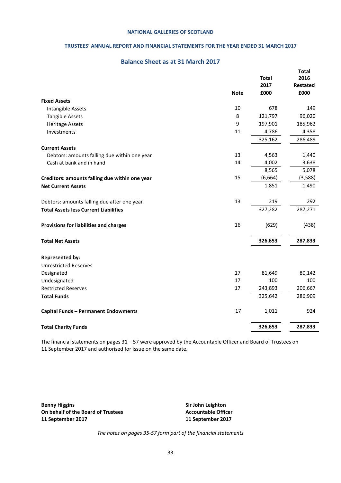## **TRUSTEES' ANNUAL REPORT AND FINANCIAL STATEMENTS FOR THE YEAR ENDED 31 MARCH 2017**

## **Balance Sheet as at 31 March 2017**

<span id="page-32-0"></span>

|                                                |             | <b>Total</b> | <b>Total</b><br>2016 |
|------------------------------------------------|-------------|--------------|----------------------|
|                                                |             | 2017         | <b>Restated</b>      |
|                                                | <b>Note</b> | £000         | £000                 |
| <b>Fixed Assets</b>                            |             |              |                      |
| Intangible Assets                              | 10          | 678          | 149                  |
| <b>Tangible Assets</b>                         | 8           | 121,797      | 96,020               |
| <b>Heritage Assets</b>                         | 9           | 197,901      | 185,962              |
| Investments                                    | 11          | 4,786        | 4,358                |
|                                                |             | 325,162      | 286,489              |
| <b>Current Assets</b>                          |             |              |                      |
| Debtors: amounts falling due within one year   | 13          | 4,563        | 1,440                |
| Cash at bank and in hand                       | 14          | 4,002        | 3,638                |
|                                                |             | 8,565        | 5,078                |
| Creditors: amounts falling due within one year | 15          | (6, 664)     | (3,588)              |
| <b>Net Current Assets</b>                      |             | 1,851        | 1,490                |
| Debtors: amounts falling due after one year    | 13          | 219          | 292                  |
| <b>Total Assets less Current Liabilities</b>   |             | 327,282      | 287,271              |
| Provisions for liabilities and charges         | 16          | (629)        | (438)                |
| <b>Total Net Assets</b>                        |             | 326,653      | 287,833              |
| <b>Represented by:</b>                         |             |              |                      |
| <b>Unrestricted Reserves</b>                   |             |              |                      |
| Designated                                     | 17          | 81,649       | 80,142               |
| Undesignated                                   | 17          | 100          | 100                  |
| <b>Restricted Reserves</b>                     | 17          | 243,893      | 206,667              |
| <b>Total Funds</b>                             |             | 325,642      | 286,909              |
| <b>Capital Funds - Permanent Endowments</b>    | 17          | 1,011        | 924                  |
| <b>Total Charity Funds</b>                     |             | 326,653      | 287,833              |

The financial statements on pages 31 – 57 were approved by the Accountable Officer and Board of Trustees on 11 September 2017 and authorised for issue on the same date.

**Benny Higgins Sir John Leighton On behalf of the Board of Trustees 11 September 2017 11 September 2017**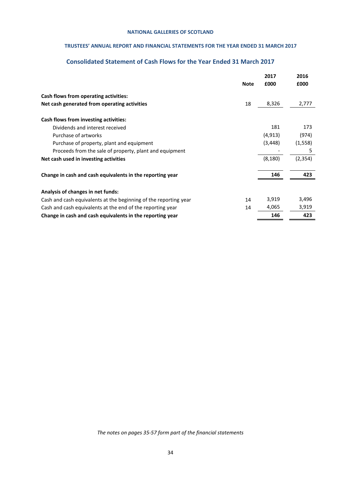## **TRUSTEES' ANNUAL REPORT AND FINANCIAL STATEMENTS FOR THE YEAR ENDED 31 MARCH 2017**

# **Consolidated Statement of Cash Flows for the Year Ended 31 March 2017**

<span id="page-33-0"></span>

|                                                                  |             | 2017     | 2016     |
|------------------------------------------------------------------|-------------|----------|----------|
|                                                                  | <b>Note</b> | £000     | £000     |
| Cash flows from operating activities:                            |             |          |          |
| Net cash generated from operating activities                     | 18          | 8,326    | 2,777    |
| Cash flows from investing activities:                            |             |          |          |
| Dividends and interest received                                  |             | 181      | 173      |
| Purchase of artworks                                             |             | (4, 913) | (974)    |
| Purchase of property, plant and equipment                        |             | (3,448)  | (1, 558) |
| Proceeds from the sale of property, plant and equipment          |             |          | 5        |
| Net cash used in investing activities                            |             | (8, 180) | (2, 354) |
| Change in cash and cash equivalents in the reporting year        |             | 146      | 423      |
| Analysis of changes in net funds:                                |             |          |          |
| Cash and cash equivalents at the beginning of the reporting year | 14          | 3,919    | 3,496    |
| Cash and cash equivalents at the end of the reporting year       | 14          | 4,065    | 3,919    |
| Change in cash and cash equivalents in the reporting year        |             | 146      | 423      |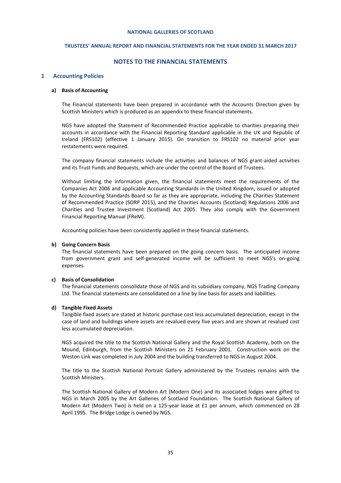#### **TRUSTEES' ANNUAL REPORT AND FINANCIAL STATEMENTS FOR THE YEAR ENDED 31 MARCH 2017**

#### **NOTES TO THE FINANCIAL STATEMENTS**

#### <span id="page-34-0"></span>**1 Accounting Policies**

#### **a) Basis of Accounting**

The Financial statements have been prepared in accordance with the Accounts Direction given by Scottish Ministers which is produced as an appendix to these financial statements.

NGS have adopted the Statement of Recommended Practice applicable to charities preparing their accounts in accordance with the Financial Reporting Standard applicable in the UK and Republic of Ireland (FRS102) (effective 1 January 2015). On transition to FRS102 no material prior year restatements were required.

The company financial statements include the activities and balances of NGS grant-aided activities and its Trust Funds and Bequests, which are under the control of the Board of Trustees.

Without limiting the information given, the financial statements meet the requirements of the Companies Act 2006 and applicable Accounting Standards in the United Kingdom, issued or adopted by the Accounting Standards Board so far as they are appropriate, including the Charities Statement of Recommended Practice (SORP 2015), and the Charities Accounts (Scotland) Regulations 2006 and Charities and Trustee Investment (Scotland) Act 2005. They also comply with the Government Financial Reporting Manual (FReM).

Accounting policies have been consistently applied in these financial statements.

#### **b) Going Concern Basis**

The financial statements have been prepared on the going concern basis. The anticipated income from government grant and self-generated income will be sufficient to meet NGS's on-going expenses.

#### **c) Basis of Consolidation**

The financial statements consolidate those of NGS and its subsidiary company, NGS Trading Company Ltd. The financial statements are consolidated on a line by line basis for assets and liabilities.

#### **d) Tangible Fixed Assets**

Tangible fixed assets are stated at historic purchase cost less accumulated depreciation, except in the case of land and buildings where assets are revalued every five years and are shown at revalued cost less accumulated depreciation.

NGS acquired the title to the Scottish National Gallery and the Royal Scottish Academy, both on the Mound, Edinburgh, from the Scottish Ministers on 21 February 2001. Construction work on the Weston Link was completed in July 2004 and the building transferred to NGS in August 2004.

The title to the Scottish National Portrait Gallery administered by the Trustees remains with the Scottish Ministers.

The Scottish National Gallery of Modern Art (Modern One) and its associated lodges were gifted to NGS in March 2005 by the Art Galleries of Scotland Foundation. The Scottish National Gallery of Modern Art (Modern Two) is held on a 125-year lease at £1 per annum, which commenced on 28 April 1995. The Bridge Lodge is owned by NGS.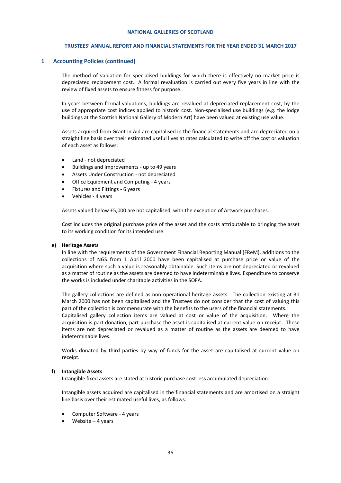#### **TRUSTEES' ANNUAL REPORT AND FINANCIAL STATEMENTS FOR THE YEAR ENDED 31 MARCH 2017**

#### **1 Accounting Policies (continued)**

The method of valuation for specialised buildings for which there is effectively no market price is depreciated replacement cost. A formal revaluation is carried out every five years in line with the review of fixed assets to ensure fitness for purpose.

In years between formal valuations, buildings are revalued at depreciated replacement cost, by the use of appropriate cost indices applied to historic cost. Non-specialised use buildings (e.g. the lodge buildings at the Scottish National Gallery of Modern Art) have been valued at existing use value.

Assets acquired from Grant in Aid are capitalised in the financial statements and are depreciated on a straight line basis over their estimated useful lives at rates calculated to write off the cost or valuation of each asset as follows:

- Land not depreciated
- Buildings and Improvements up to 49 years
- Assets Under Construction not depreciated
- Office Equipment and Computing 4 years
- Fixtures and Fittings 6 years
- Vehicles 4 years

Assets valued below £5,000 are not capitalised, with the exception of Artwork purchases.

Cost includes the original purchase price of the asset and the costs attributable to bringing the asset to its working condition for its intended use.

#### **e) Heritage Assets**

In line with the requirements of the Government Financial Reporting Manual (FReM), additions to the collections of NGS from 1 April 2000 have been capitalised at purchase price or value of the acquisition where such a value is reasonably obtainable. Such items are not depreciated or revalued as a matter of routine as the assets are deemed to have indeterminable lives. Expenditure to conserve the works is included under charitable activities in the SOFA.

The gallery collections are defined as non-operational heritage assets. The collection existing at 31 March 2000 has not been capitalised and the Trustees do not consider that the cost of valuing this part of the collection is commensurate with the benefits to the users of the financial statements.

Capitalised gallery collection items are valued at cost or value of the acquisition. Where the acquisition is part donation, part purchase the asset is capitalised at current value on receipt. These items are not depreciated or revalued as a matter of routine as the assets are deemed to have indeterminable lives.

Works donated by third parties by way of funds for the asset are capitalised at current value on receipt.

#### **f) Intangible Assets**

Intangible fixed assets are stated at historic purchase cost less accumulated depreciation.

Intangible assets acquired are capitalised in the financial statements and are amortised on a straight line basis over their estimated useful lives, as follows:

- Computer Software 4 years
- Website 4 years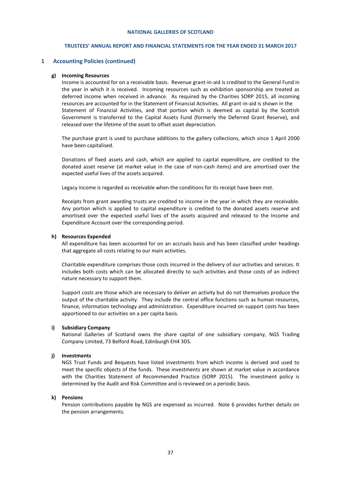## **TRUSTEES' ANNUAL REPORT AND FINANCIAL STATEMENTS FOR THE YEAR ENDED 31 MARCH 2017**

#### **1 Accounting Policies (continued)**

#### **g) Incoming Resources**

Income is accounted for on a receivable basis. Revenue grant-in-aid is credited to the General Fund in the year in which it is received. Incoming resources such as exhibition sponsorship are treated as deferred income when received in advance. As required by the Charities SORP 2015, all incoming resources are accounted for in the Statement of Financial Activities. All grant-in-aid is shown in the Statement of Financial Activities, and that portion which is deemed as capital by the Scottish Government is transferred to the Capital Assets Fund (formerly the Deferred Grant Reserve), and released over the lifetime of the asset to offset asset depreciation.

The purchase grant is used to purchase additions to the gallery collections, which since 1 April 2000 have been capitalised.

Donations of fixed assets and cash, which are applied to capital expenditure, are credited to the donated asset reserve (at market value in the case of non-cash items) and are amortised over the expected useful lives of the assets acquired.

Legacy income is regarded as receivable when the conditions for its receipt have been met.

Receipts from grant awarding trusts are credited to income in the year in which they are receivable. Any portion which is applied to capital expenditure is credited to the donated assets reserve and amortised over the expected useful lives of the assets acquired and released to the Income and Expenditure Account over the corresponding period.

#### **h) Resources Expended**

All expenditure has been accounted for on an accruals basis and has been classified under headings that aggregate all costs relating to our main activities.

Charitable expenditure comprises those costs incurred in the delivery of our activities and services. It includes both costs which can be allocated directly to such activities and those costs of an indirect nature necessary to support them.

Support costs are those which are necessary to deliver an activity but do not themselves produce the output of the charitable activity. They include the central office functions such as human resources, finance, information technology and administration. Expenditure incurred on support costs has been apportioned to our activities on a per capita basis.

#### **i) Subsidiary Company**

National Galleries of Scotland owns the share capital of one subsidiary company, NGS Trading Company Limited, 73 Belford Road, Edinburgh EH4 3DS.

## **j) Investments**

NGS Trust Funds and Bequests have listed investments from which income is derived and used to meet the specific objects of the funds. These investments are shown at market value in accordance with the Charities Statement of Recommended Practice (SORP 2015). The investment policy is determined by the Audit and Risk Committee and is reviewed on a periodic basis.

#### **k) Pensions**

Pension contributions payable by NGS are expensed as incurred. Note 6 provides further details on the pension arrangements.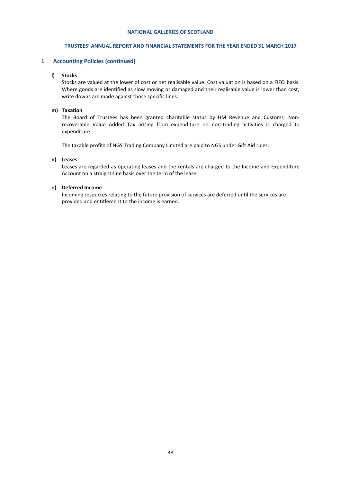#### **TRUSTEES' ANNUAL REPORT AND FINANCIAL STATEMENTS FOR THE YEAR ENDED 31 MARCH 2017**

#### **1 Accounting Policies (continued)**

#### **l) Stocks**

Stocks are valued at the lower of cost or net realisable value. Cost valuation is based on a FIFO basis. Where goods are identified as slow moving or damaged and their realisable value is lower than cost, write downs are made against those specific lines.

#### **m) Taxation**

The Board of Trustees has been granted charitable status by HM Revenue and Customs. Nonrecoverable Value Added Tax arising from expenditure on non-trading activities is charged to expenditure.

The taxable profits of NGS Trading Company Limited are paid to NGS under Gift Aid rules.

#### **n) Leases**

Leases are regarded as operating leases and the rentals are charged to the Income and Expenditure Account on a straight-line basis over the term of the lease.

#### **o) Deferred Income**

Incoming resources relating to the future provision of services are deferred until the services are provided and entitlement to the income is earned.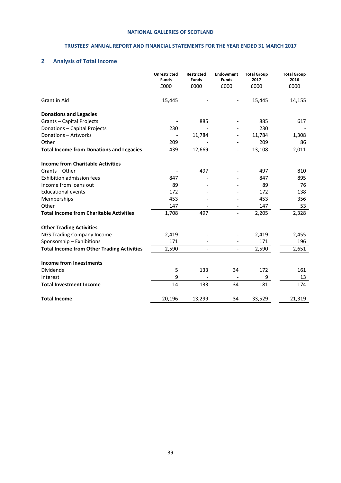## **TRUSTEES' ANNUAL REPORT AND FINANCIAL STATEMENTS FOR THE YEAR ENDED 31 MARCH 2017**

# **2 Analysis of Total Income**

|                                                   | <b>Unrestricted</b><br><b>Funds</b><br>£000 | <b>Restricted</b><br><b>Funds</b><br>£000 | <b>Endowment</b><br><b>Funds</b><br>£000 | <b>Total Group</b><br>2017<br>£000 | <b>Total Group</b><br>2016<br>£000 |
|---------------------------------------------------|---------------------------------------------|-------------------------------------------|------------------------------------------|------------------------------------|------------------------------------|
| Grant in Aid                                      | 15,445                                      |                                           |                                          | 15,445                             | 14,155                             |
| <b>Donations and Legacies</b>                     |                                             |                                           |                                          |                                    |                                    |
| Grants - Capital Projects                         |                                             | 885                                       |                                          | 885                                | 617                                |
| Donations - Capital Projects                      | 230                                         |                                           |                                          | 230                                |                                    |
| Donations - Artworks                              |                                             | 11,784                                    |                                          | 11,784                             | 1,308                              |
| Other                                             | 209                                         |                                           |                                          | 209                                | 86                                 |
| <b>Total Income from Donations and Legacies</b>   | 439                                         | 12,669                                    | $\overline{\phantom{a}}$                 | 13,108                             | 2,011                              |
| <b>Income from Charitable Activities</b>          |                                             |                                           |                                          |                                    |                                    |
| Grants - Other                                    |                                             | 497                                       |                                          | 497                                | 810                                |
| <b>Exhibition admission fees</b>                  | 847                                         |                                           |                                          | 847                                | 895                                |
| Income from loans out                             | 89                                          |                                           |                                          | 89                                 | 76                                 |
| <b>Educational events</b>                         | 172                                         |                                           |                                          | 172                                | 138                                |
| Memberships                                       | 453                                         |                                           |                                          | 453                                | 356                                |
| Other                                             | 147                                         |                                           |                                          | 147                                | 53                                 |
| <b>Total Income from Charitable Activities</b>    | 1,708                                       | 497                                       | $\overline{\phantom{a}}$                 | 2,205                              | 2,328                              |
| <b>Other Trading Activities</b>                   |                                             |                                           |                                          |                                    |                                    |
| <b>NGS Trading Company Income</b>                 | 2,419                                       |                                           |                                          | 2,419                              | 2,455                              |
| Sponsorship - Exhibitions                         | 171                                         |                                           |                                          | 171                                | 196                                |
| <b>Total Income from Other Trading Activities</b> | 2,590                                       | $\blacksquare$                            | $\blacksquare$                           | 2,590                              | 2,651                              |
| Income from Investments                           |                                             |                                           |                                          |                                    |                                    |
| Dividends                                         | 5                                           | 133                                       | 34                                       | 172                                | 161                                |
| Interest                                          | 9                                           |                                           | $\overline{\phantom{a}}$                 | 9                                  | 13                                 |
| <b>Total Investment Income</b>                    | 14                                          | 133                                       | 34                                       | 181                                | 174                                |
| <b>Total Income</b>                               | 20,196                                      | 13,299                                    | 34                                       | 33,529                             | 21,319                             |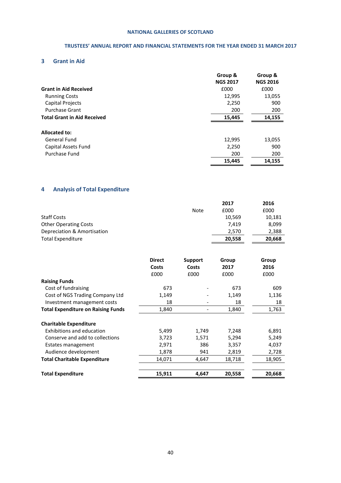## **TRUSTEES' ANNUAL REPORT AND FINANCIAL STATEMENTS FOR THE YEAR ENDED 31 MARCH 2017**

# **3 Grant in Aid**

|                                    | Group &<br><b>NGS 2017</b> | Group &<br><b>NGS 2016</b> |
|------------------------------------|----------------------------|----------------------------|
| <b>Grant in Aid Received</b>       | £000                       | £000                       |
| <b>Running Costs</b>               | 12,995                     | 13,055                     |
| Capital Projects                   | 2,250                      | 900                        |
| <b>Purchase Grant</b>              | 200                        | 200                        |
| <b>Total Grant in Aid Received</b> | 15,445                     | 14,155                     |
| Allocated to:                      |                            |                            |
| <b>General Fund</b>                | 12,995                     | 13,055                     |
| Capital Assets Fund                | 2,250                      | 900                        |
| Purchase Fund                      | 200                        | 200                        |
|                                    | 15,445                     | 14,155                     |

## **4 Analysis of Total Expenditure**

|                              | <b>Note</b> | 2017<br>£000 | 2016<br>£000 |
|------------------------------|-------------|--------------|--------------|
| <b>Staff Costs</b>           |             | 10.569       | 10,181       |
| <b>Other Operating Costs</b> |             | 7.419        | 8,099        |
| Depreciation & Amortisation  |             | 2.570        | 2,388        |
| <b>Total Expenditure</b>     |             | 20,558       | 20.668       |

|                                           | <b>Direct</b><br>Costs<br>£000 | Support<br>Costs<br>£000 | Group<br>2017<br>£000 | Group<br>2016<br>£000 |
|-------------------------------------------|--------------------------------|--------------------------|-----------------------|-----------------------|
| <b>Raising Funds</b>                      |                                |                          |                       |                       |
| Cost of fundraising                       | 673                            |                          | 673                   | 609                   |
| Cost of NGS Trading Company Ltd           | 1,149                          |                          | 1,149                 | 1,136                 |
| Investment management costs               | 18                             |                          | 18                    | 18                    |
| <b>Total Expenditure on Raising Funds</b> | 1,840                          |                          | 1,840                 | 1,763                 |
| <b>Charitable Expenditure</b>             |                                |                          |                       |                       |
| Exhibitions and education                 | 5,499                          | 1,749                    | 7,248                 | 6,891                 |
| Conserve and add to collections           | 3,723                          | 1,571                    | 5,294                 | 5,249                 |
| Estates management                        | 2,971                          | 386                      | 3,357                 | 4,037                 |
| Audience development                      | 1,878                          | 941                      | 2,819                 | 2,728                 |
| <b>Total Charitable Expenditure</b>       | 14,071                         | 4,647                    | 18,718                | 18,905                |
| <b>Total Expenditure</b>                  | 15,911                         | 4,647                    | 20,558                | 20,668                |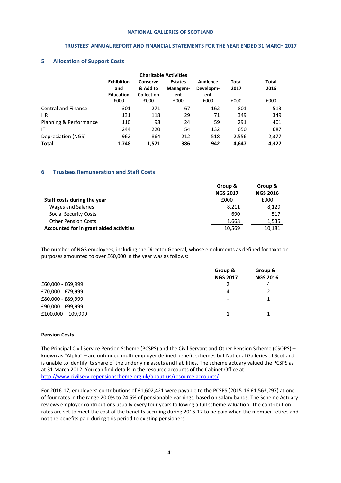#### **TRUSTEES' ANNUAL REPORT AND FINANCIAL STATEMENTS FOR THE YEAR ENDED 31 MARCH 2017**

#### **5 Allocation of Support Costs**

|                            | <b>Charitable Activities</b>                 |                                           |                                   |                              |               |                      |
|----------------------------|----------------------------------------------|-------------------------------------------|-----------------------------------|------------------------------|---------------|----------------------|
|                            | <b>Exhibition</b><br>and<br><b>Education</b> | Conserve<br>& Add to<br><b>Collection</b> | <b>Estates</b><br>Managem-<br>ent | Audience<br>Developm-<br>ent | Total<br>2017 | <b>Total</b><br>2016 |
|                            | £000                                         | £000                                      | £000                              | £000                         | £000          | £000                 |
| <b>Central and Finance</b> | 301                                          | 271                                       | 67                                | 162                          | 801           | 513                  |
| HR.                        | 131                                          | 118                                       | 29                                | 71                           | 349           | 349                  |
| Planning & Performance     | 110                                          | 98                                        | 24                                | 59                           | 291           | 401                  |
| ΙT                         | 244                                          | 220                                       | 54                                | 132                          | 650           | 687                  |
| Depreciation (NGS)         | 962                                          | 864                                       | 212                               | 518                          | 2,556         | 2,377                |
| Total                      | 1,748                                        | 1,571                                     | 386                               | 942                          | 4,647         | 4,327                |

#### **6 Trustees Remuneration and Staff Costs**

|                                         | Group &         | Group &         |
|-----------------------------------------|-----------------|-----------------|
|                                         | <b>NGS 2017</b> | <b>NGS 2016</b> |
| Staff costs during the year             | £000            | £000            |
| Wages and Salaries                      | 8.211           | 8,129           |
| <b>Social Security Costs</b>            | 690             | 517             |
| <b>Other Pension Costs</b>              | 1,668           | 1,535           |
| Accounted for in grant aided activities | 10,569          | 10,181          |

The number of NGS employees, including the Director General, whose emoluments as defined for taxation purposes amounted to over £60,000 in the year was as follows:

|                      | Group &                  | Group &                  |
|----------------------|--------------------------|--------------------------|
|                      | <b>NGS 2017</b>          | <b>NGS 2016</b>          |
| £60,000 - £69,999    |                          | 4                        |
| £70,000 - £79,999    | 4                        |                          |
| £80,000 - £89,999    |                          |                          |
| £90,000 - £99,999    | $\overline{\phantom{0}}$ | $\overline{\phantom{a}}$ |
| $£100,000 - 109,999$ |                          |                          |

#### **Pension Costs**

The Principal Civil Service Pension Scheme (PCSPS) and the Civil Servant and Other Pension Scheme (CSOPS) – known as "Alpha" – are unfunded multi-employer defined benefit schemes but National Galleries of Scotland is unable to identify its share of the underlying assets and liabilities. The scheme actuary valued the PCSPS as at 31 March 2012. You can find details in the resource accounts of the Cabinet Office at: <http://www.civilservicepensionscheme.org.uk/about-us/resource-accounts/>

For 2016-17, employers' contributions of £1,602,421 were payable to the PCSPS (2015-16 £1,563,297) at one of four rates in the range 20.0% to 24.5% of pensionable earnings, based on salary bands. The Scheme Actuary reviews employer contributions usually every four years following a full scheme valuation. The contribution rates are set to meet the cost of the benefits accruing during 2016-17 to be paid when the member retires and not the benefits paid during this period to existing pensioners.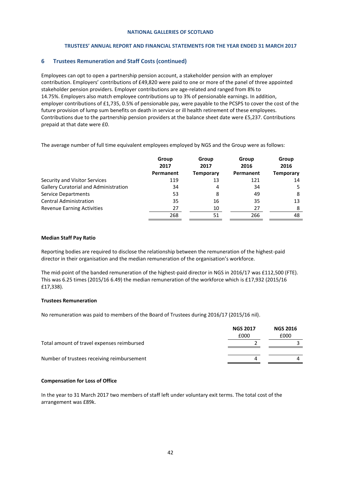## **TRUSTEES' ANNUAL REPORT AND FINANCIAL STATEMENTS FOR THE YEAR ENDED 31 MARCH 2017**

## **6 Trustees Remuneration and Staff Costs (continued)**

Employees can opt to open a partnership pension account, a stakeholder pension with an employer contribution. Employers' contributions of £49,820 were paid to one or more of the panel of three appointed stakeholder pension providers. Employer contributions are age-related and ranged from 8% to 14.75%. Employers also match employee contributions up to 3% of pensionable earnings. In addition, employer contributions of £1,735, 0.5% of pensionable pay, were payable to the PCSPS to cover the cost of the future provision of lump sum benefits on death in service or ill health retirement of these employees. Contributions due to the partnership pension providers at the balance sheet date were £5,237. Contributions prepaid at that date were £0.

The average number of full time equivalent employees employed by NGS and the Group were as follows:

|                                              | Group<br>2017 | Group<br>2017    | Group<br>2016 | Group<br>2016    |
|----------------------------------------------|---------------|------------------|---------------|------------------|
|                                              | Permanent     | <b>Temporary</b> | Permanent     | <b>Temporary</b> |
| Security and Visitor Services                | 119           | 13               | 121           | 14               |
| <b>Gallery Curatorial and Administration</b> | 34            | 4                | 34            |                  |
| <b>Service Departments</b>                   | 53            | 8                | 49            | 8                |
| <b>Central Administration</b>                | 35            | 16               | 35            | 13               |
| <b>Revenue Earning Activities</b>            | 27            | 10               | 27            | 8                |
|                                              | 268           | 51               | 266           | 48               |

#### **Median Staff Pay Ratio**

Reporting bodies are required to disclose the relationship between the remuneration of the highest-paid director in their organisation and the median remuneration of the organisation's workforce.

The mid-point of the banded remuneration of the highest-paid director in NGS in 2016/17 was £112,500 (FTE). This was 6.25 times (2015/16 6.49) the median remuneration of the workforce which is £17,932 (2015/16 £17,338).

## **Trustees Remuneration**

No remuneration was paid to members of the Board of Trustees during 2016/17 (2015/16 nil).

|                                            | <b>NGS 2017</b><br>£000 | <b>NGS 2016</b><br>£000 |
|--------------------------------------------|-------------------------|-------------------------|
| Total amount of travel expenses reimbursed |                         |                         |
| Number of trustees receiving reimbursement |                         |                         |

## **Compensation for Loss of Office**

In the year to 31 March 2017 two members of staff left under voluntary exit terms. The total cost of the arrangement was £89k.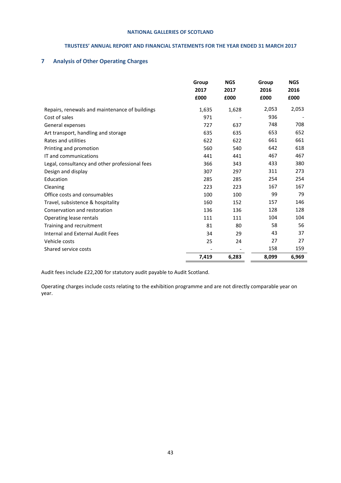## **TRUSTEES' ANNUAL REPORT AND FINANCIAL STATEMENTS FOR THE YEAR ENDED 31 MARCH 2017**

## **7 Analysis of Other Operating Charges**

|                                                | Group<br>2017<br>£000 | <b>NGS</b><br>2017<br>£000 | Group<br>2016<br>£000 | <b>NGS</b><br>2016<br>£000 |
|------------------------------------------------|-----------------------|----------------------------|-----------------------|----------------------------|
| Repairs, renewals and maintenance of buildings | 1,635                 | 1,628                      | 2,053                 | 2,053                      |
| Cost of sales                                  | 971                   |                            | 936                   |                            |
| General expenses                               | 727                   | 637                        | 748                   | 708                        |
| Art transport, handling and storage            | 635                   | 635                        | 653                   | 652                        |
| Rates and utilities                            | 622                   | 622                        | 661                   | 661                        |
| Printing and promotion                         | 560                   | 540                        | 642                   | 618                        |
| IT and communications                          | 441                   | 441                        | 467                   | 467                        |
| Legal, consultancy and other professional fees | 366                   | 343                        | 433                   | 380                        |
| Design and display                             | 307                   | 297                        | 311                   | 273                        |
| Education                                      | 285                   | 285                        | 254                   | 254                        |
| Cleaning                                       | 223                   | 223                        | 167                   | 167                        |
| Office costs and consumables                   | 100                   | 100                        | 99                    | 79                         |
| Travel, subsistence & hospitality              | 160                   | 152                        | 157                   | 146                        |
| Conservation and restoration                   | 136                   | 136                        | 128                   | 128                        |
| Operating lease rentals                        | 111                   | 111                        | 104                   | 104                        |
| Training and recruitment                       | 81                    | 80                         | 58                    | 56                         |
| Internal and External Audit Fees               | 34                    | 29                         | 43                    | 37                         |
| Vehicle costs                                  | 25                    | 24                         | 27                    | 27                         |
| Shared service costs                           |                       |                            | 158                   | 159                        |
|                                                | 7,419                 | 6,283                      | 8,099                 | 6,969                      |

Audit fees include £22,200 for statutory audit payable to Audit Scotland.

Operating charges include costs relating to the exhibition programme and are not directly comparable year on year.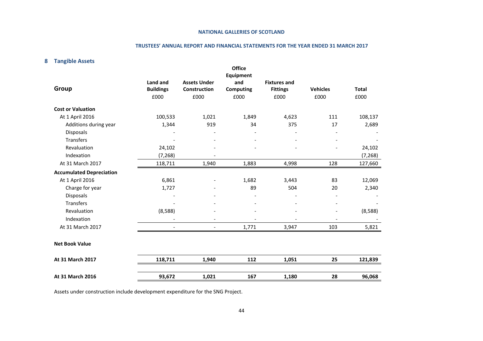#### **TRUSTEES' ANNUAL REPORT AND FINANCIAL STATEMENTS FOR THE YEAR ENDED 31 MARCH 2017**

## **8 Tangible Assets**

|                                 |                  |                              | <b>Office</b>           |                     |                          |              |
|---------------------------------|------------------|------------------------------|-------------------------|---------------------|--------------------------|--------------|
|                                 | Land and         | <b>Assets Under</b>          | <b>Equipment</b><br>and | <b>Fixtures and</b> |                          |              |
| Group                           | <b>Buildings</b> | Construction                 | <b>Computing</b>        | <b>Fittings</b>     | <b>Vehicles</b>          | <b>Total</b> |
|                                 | £000             | £000                         | £000                    | £000                | £000                     | £000         |
| <b>Cost or Valuation</b>        |                  |                              |                         |                     |                          |              |
| At 1 April 2016                 | 100,533          | 1,021                        | 1,849                   | 4,623               | 111                      | 108,137      |
| Additions during year           | 1,344            | 919                          | 34                      | 375                 | 17                       | 2,689        |
| <b>Disposals</b>                |                  |                              |                         |                     |                          |              |
| <b>Transfers</b>                |                  |                              |                         |                     |                          |              |
| Revaluation                     | 24,102           |                              |                         |                     |                          | 24,102       |
| Indexation                      | (7, 268)         |                              |                         |                     |                          | (7, 268)     |
| At 31 March 2017                | 118,711          | 1,940                        | 1,883                   | 4,998               | 128                      | 127,660      |
| <b>Accumulated Depreciation</b> |                  |                              |                         |                     |                          |              |
| At 1 April 2016                 | 6,861            |                              | 1,682                   | 3,443               | 83                       | 12,069       |
| Charge for year                 | 1,727            |                              | 89                      | 504                 | 20                       | 2,340        |
| Disposals                       |                  |                              |                         |                     |                          |              |
| <b>Transfers</b>                |                  | $\qquad \qquad \blacksquare$ |                         |                     |                          |              |
| Revaluation                     | (8,588)          |                              |                         |                     | $\overline{\phantom{a}}$ | (8,588)      |
| Indexation                      |                  |                              |                         |                     |                          |              |
| At 31 March 2017                |                  | $\overline{\phantom{a}}$     | 1,771                   | 3,947               | 103                      | 5,821        |
| <b>Net Book Value</b>           |                  |                              |                         |                     |                          |              |
| At 31 March 2017                | 118,711          | 1,940                        | 112                     | 1,051               | 25                       | 121,839      |
| At 31 March 2016                | 93,672           | 1,021                        | 167                     | 1,180               | 28                       | 96,068       |

Assets under construction include development expenditure for the SNG Project.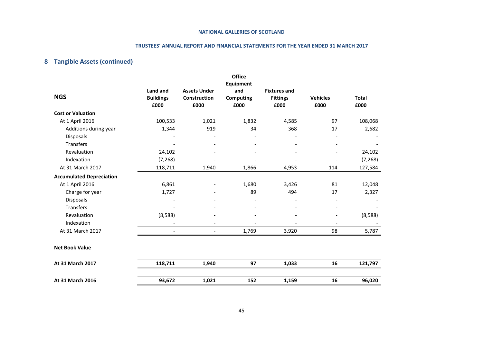#### **TRUSTEES' ANNUAL REPORT AND FINANCIAL STATEMENTS FOR THE YEAR ENDED 31 MARCH 2017**

# **8 Tangible Assets (continued)**

|                                 |                                      |                                                    | <b>Office</b>                                       |                                                |                              |                      |
|---------------------------------|--------------------------------------|----------------------------------------------------|-----------------------------------------------------|------------------------------------------------|------------------------------|----------------------|
| <b>NGS</b>                      | Land and<br><b>Buildings</b><br>£000 | <b>Assets Under</b><br><b>Construction</b><br>£000 | <b>Equipment</b><br>and<br><b>Computing</b><br>£000 | <b>Fixtures and</b><br><b>Fittings</b><br>£000 | <b>Vehicles</b><br>£000      | <b>Total</b><br>£000 |
| <b>Cost or Valuation</b>        |                                      |                                                    |                                                     |                                                |                              |                      |
| At 1 April 2016                 | 100,533                              | 1,021                                              | 1,832                                               | 4,585                                          | 97                           | 108,068              |
| Additions during year           | 1,344                                | 919                                                | 34                                                  | 368                                            | 17                           | 2,682                |
| Disposals                       |                                      | $\overline{\phantom{a}}$                           |                                                     | $\overline{\phantom{a}}$                       | $\qquad \qquad \blacksquare$ |                      |
| <b>Transfers</b>                |                                      |                                                    |                                                     |                                                |                              |                      |
| Revaluation                     | 24,102                               |                                                    |                                                     |                                                |                              | 24,102               |
| Indexation                      | (7, 268)                             |                                                    |                                                     |                                                |                              | (7, 268)             |
| At 31 March 2017                | 118,711                              | 1,940                                              | 1,866                                               | 4,953                                          | 114                          | 127,584              |
| <b>Accumulated Depreciation</b> |                                      |                                                    |                                                     |                                                |                              |                      |
| At 1 April 2016                 | 6,861                                |                                                    | 1,680                                               | 3,426                                          | 81                           | 12,048               |
| Charge for year                 | 1,727                                |                                                    | 89                                                  | 494                                            | 17                           | 2,327                |
| <b>Disposals</b>                |                                      |                                                    |                                                     |                                                |                              |                      |
| <b>Transfers</b>                |                                      |                                                    |                                                     |                                                |                              |                      |
| Revaluation                     | (8,588)                              | $\overline{\phantom{a}}$                           |                                                     |                                                |                              | (8,588)              |
| Indexation                      |                                      |                                                    |                                                     |                                                |                              |                      |
| At 31 March 2017                |                                      | $\overline{\phantom{a}}$                           | 1,769                                               | 3,920                                          | 98                           | 5,787                |
| <b>Net Book Value</b>           |                                      |                                                    |                                                     |                                                |                              |                      |
| At 31 March 2017                | 118,711                              | 1,940                                              | 97                                                  | 1,033                                          | 16                           | 121,797              |
| At 31 March 2016                | 93,672                               | 1,021                                              | 152                                                 | 1,159                                          | 16                           | 96,020               |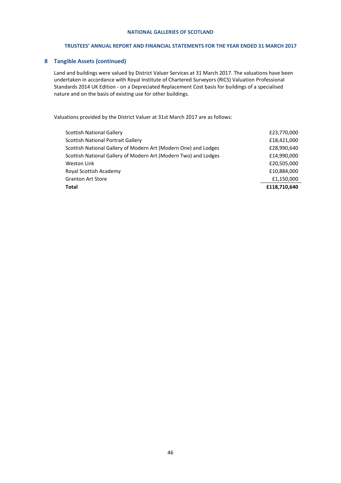## **TRUSTEES' ANNUAL REPORT AND FINANCIAL STATEMENTS FOR THE YEAR ENDED 31 MARCH 2017**

## **8 Tangible Assets (continued)**

Land and buildings were valued by District Valuer Services at 31 March 2017. The valuations have been undertaken in accordance with Royal Institute of Chartered Surveyors (RICS) Valuation Professional Standards 2014 UK Edition - on a Depreciated Replacement Cost basis for buildings of a specialised nature and on the basis of existing use for other buildings.

Valuations provided by the District Valuer at 31st March 2017 are as follows:

| Weston Link<br>Royal Scottish Academy | £20,505,000<br>£10,884,000 |
|---------------------------------------|----------------------------|
| <b>Granton Art Store</b>              | £1,150,000                 |
| Total                                 | £118,710,640               |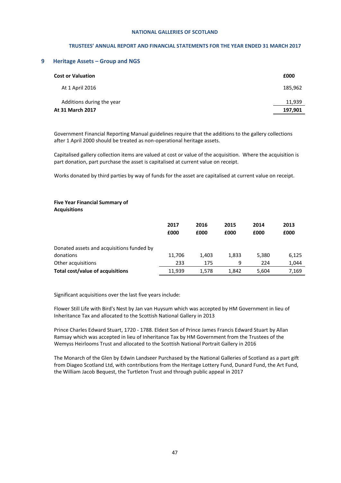#### **TRUSTEES' ANNUAL REPORT AND FINANCIAL STATEMENTS FOR THE YEAR ENDED 31 MARCH 2017**

#### **9 Heritage Assets – Group and NGS**

| <b>Cost or Valuation</b>  | £000    |
|---------------------------|---------|
| At 1 April 2016           | 185,962 |
| Additions during the year | 11,939  |
| At 31 March 2017          | 197,901 |

Government Financial Reporting Manual guidelines require that the additions to the gallery collections after 1 April 2000 should be treated as non-operational heritage assets.

Capitalised gallery collection items are valued at cost or value of the acquisition. Where the acquisition is part donation, part purchase the asset is capitalised at current value on receipt.

Works donated by third parties by way of funds for the asset are capitalised at current value on receipt.

#### **Five Year Financial Summary of Acquisitions**

|                                           | 2017   | 2016  | 2015  | 2014  | 2013  |
|-------------------------------------------|--------|-------|-------|-------|-------|
|                                           | £000   | £000  | £000  | £000  | £000  |
|                                           |        |       |       |       |       |
| Donated assets and acquisitions funded by |        |       |       |       |       |
| donations                                 | 11.706 | 1.403 | 1.833 | 5.380 | 6,125 |
| Other acquisitions                        | 233    | 175   | 9     | 224   | 1,044 |
| Total cost/value of acquisitions          | 11.939 | 1.578 | 1,842 | 5,604 | 7,169 |

Significant acquisitions over the last five years include:

Flower Still Life with Bird's Nest by Jan van Huysum which was accepted by HM Government in lieu of Inheritance Tax and allocated to the Scottish National Gallery in 2013

Prince Charles Edward Stuart, 1720 - 1788. Eldest Son of Prince James Francis Edward Stuart by Allan Ramsay which was accepted in lieu of Inheritance Tax by HM Government from the Trustees of the Wemyss Heirlooms Trust and allocated to the Scottish National Portrait Gallery in 2016

The Monarch of the Glen by Edwin Landseer Purchased by the National Galleries of Scotland as a part gift from Diageo Scotland Ltd, with contributions from the Heritage Lottery Fund, Dunard Fund, the Art Fund, the William Jacob Bequest, the Turtleton Trust and through public appeal in 2017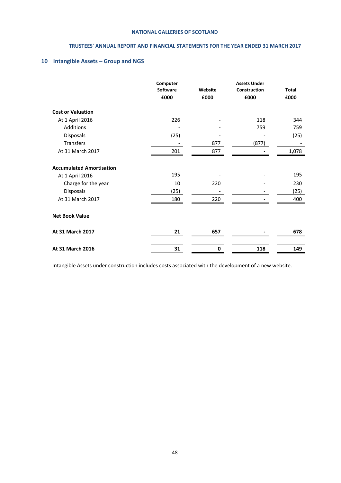## **TRUSTEES' ANNUAL REPORT AND FINANCIAL STATEMENTS FOR THE YEAR ENDED 31 MARCH 2017**

## **10 Intangible Assets – Group and NGS**

|                                 | Computer<br><b>Software</b><br>£000 | Website<br>£000 | <b>Assets Under</b><br>Construction<br>£000 | <b>Total</b><br>£000 |
|---------------------------------|-------------------------------------|-----------------|---------------------------------------------|----------------------|
| <b>Cost or Valuation</b>        |                                     |                 |                                             |                      |
| At 1 April 2016                 | 226                                 |                 | 118                                         | 344                  |
| Additions                       |                                     |                 | 759                                         | 759                  |
| Disposals                       | (25)                                |                 |                                             | (25)                 |
| <b>Transfers</b>                |                                     | 877             | (877)                                       |                      |
| At 31 March 2017                | 201                                 | 877             |                                             | 1,078                |
| <b>Accumulated Amortisation</b> |                                     |                 |                                             |                      |
| At 1 April 2016                 | 195                                 |                 |                                             | 195                  |
| Charge for the year             | 10                                  | 220             |                                             | 230                  |
| Disposals                       | (25)                                |                 |                                             | (25)                 |
| At 31 March 2017                | 180                                 | 220             |                                             | 400                  |
| <b>Net Book Value</b>           |                                     |                 |                                             |                      |
| At 31 March 2017                | 21                                  | 657             |                                             | 678                  |
|                                 |                                     |                 |                                             |                      |
| At 31 March 2016                | 31                                  | 0               | 118                                         | 149                  |

Intangible Assets under construction includes costs associated with the development of a new website.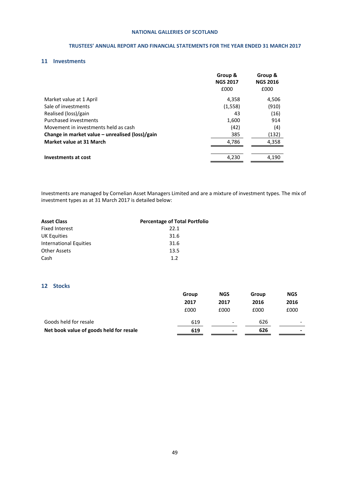## **TRUSTEES' ANNUAL REPORT AND FINANCIAL STATEMENTS FOR THE YEAR ENDED 31 MARCH 2017**

## **11 Investments**

|                                                 | Group &<br><b>NGS 2017</b><br>£000 | Group &<br><b>NGS 2016</b><br>£000 |
|-------------------------------------------------|------------------------------------|------------------------------------|
| Market value at 1 April                         | 4,358                              | 4,506                              |
| Sale of investments                             | (1, 558)                           | (910)                              |
| Realised (loss)/gain                            | 43                                 | (16)                               |
| <b>Purchased investments</b>                    | 1,600                              | 914                                |
| Movement in investments held as cash            | (42)                               | (4)                                |
| Change in market value – unrealised (loss)/gain | 385                                | (132)                              |
| Market value at 31 March                        | 4,786                              | 4,358                              |
|                                                 |                                    |                                    |
| <b>Investments at cost</b>                      | 4,230                              | 4,190                              |
|                                                 |                                    |                                    |

Investments are managed by Cornelian Asset Managers Limited and are a mixture of investment types. The mix of investment types as at 31 March 2017 is detailed below:

| <b>Asset Class</b>     | <b>Percentage of Total Portfolio</b> |
|------------------------|--------------------------------------|
| Fixed Interest         | 22.1                                 |
| <b>UK Equities</b>     | 31.6                                 |
| International Equities | 31.6                                 |
| <b>Other Assets</b>    | 13.5                                 |
| Cash                   | 12                                   |

## **12 Stocks**

|                                         | Group | <b>NGS</b>               | Group | <b>NGS</b>               |
|-----------------------------------------|-------|--------------------------|-------|--------------------------|
|                                         | 2017  | 2017                     | 2016  | 2016                     |
|                                         | £000  | £000                     | £000  | £000                     |
| Goods held for resale                   | 619   | $\overline{\phantom{0}}$ | 626   |                          |
| Net book value of goods held for resale | 619   | ۰                        | 626   | $\overline{\phantom{0}}$ |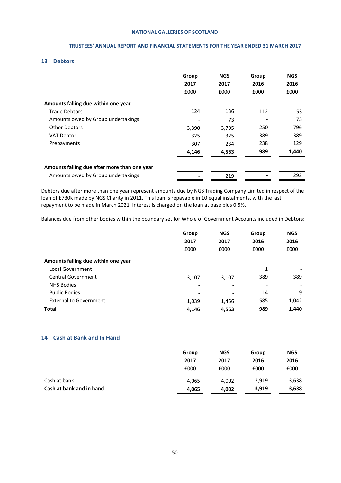## **TRUSTEES' ANNUAL REPORT AND FINANCIAL STATEMENTS FOR THE YEAR ENDED 31 MARCH 2017**

## **13 Debtors**

|                                              | Group<br>2017<br>£000    | <b>NGS</b><br>2017<br>£000 | Group<br>2016<br>£000 | <b>NGS</b><br>2016<br>£000 |
|----------------------------------------------|--------------------------|----------------------------|-----------------------|----------------------------|
| Amounts falling due within one year          |                          |                            |                       |                            |
| <b>Trade Debtors</b>                         | 124                      | 136                        | 112                   | 53                         |
| Amounts owed by Group undertakings           | $\overline{\phantom{a}}$ | 73                         |                       | 73                         |
| <b>Other Debtors</b>                         | 3,390                    | 3,795                      | 250                   | 796                        |
| <b>VAT Debtor</b>                            | 325                      | 325                        | 389                   | 389                        |
| Prepayments                                  | 307                      | 234                        | 238                   | 129                        |
|                                              | 4,146                    | 4,563                      | 989                   | 1,440                      |
| Amounts falling due after more than one year |                          |                            |                       |                            |
| Amounts owed by Group undertakings           |                          | 219                        |                       | 292                        |

Debtors due after more than one year represent amounts due by NGS Trading Company Limited in respect of the loan of £730k made by NGS Charity in 2011. This loan is repayable in 10 equal instalments, with the last repayment to be made in March 2021. Interest is charged on the loan at base plus 0.5%.

Balances due from other bodies within the boundary set for Whole of Government Accounts included in Debtors:

|                                     | Group | <b>NGS</b>               | Group                    | <b>NGS</b> |
|-------------------------------------|-------|--------------------------|--------------------------|------------|
|                                     | 2017  | 2017                     | 2016                     | 2016       |
|                                     | £000  | £000                     | £000                     | £000       |
| Amounts falling due within one year |       |                          |                          |            |
| Local Government                    |       |                          | 1                        |            |
| Central Government                  | 3,107 | 3,107                    | 389                      | 389        |
| <b>NHS Bodies</b>                   |       | $\overline{\phantom{a}}$ | $\overline{\phantom{0}}$ |            |
| <b>Public Bodies</b>                |       |                          | 14                       | 9          |
| <b>External to Government</b>       | 1,039 | 1,456                    | 585                      | 1,042      |
| <b>Total</b>                        | 4,146 | 4,563                    | 989                      | 1,440      |

## **14 Cash at Bank and In Hand**

|                          | Group<br>2017 | <b>NGS</b><br>2017 | Group<br>2016 | <b>NGS</b><br>2016 |
|--------------------------|---------------|--------------------|---------------|--------------------|
|                          | £000          | £000               | £000          | £000               |
| Cash at bank             | 4,065         | 4.002              | 3,919         | 3,638              |
| Cash at bank and in hand | 4,065         | 4,002              | 3,919         | 3,638              |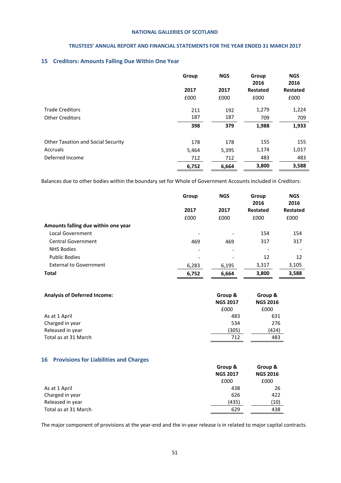## **TRUSTEES' ANNUAL REPORT AND FINANCIAL STATEMENTS FOR THE YEAR ENDED 31 MARCH 2017**

## **15 Creditors: Amounts Falling Due Within One Year**

|                                           | Group | <b>NGS</b> | Group<br>2016   | <b>NGS</b><br>2016 |
|-------------------------------------------|-------|------------|-----------------|--------------------|
|                                           | 2017  | 2017       | <b>Restated</b> | <b>Restated</b>    |
|                                           | £000  | £000       | £000            | £000               |
| <b>Trade Creditors</b>                    | 211   | 192        | 1,279           | 1,224              |
| <b>Other Creditors</b>                    | 187   | 187        | 709             | 709                |
|                                           | 398   | 379        | 1,988           | 1,933              |
| <b>Other Taxation and Social Security</b> | 178   | 178        | 155             | 155                |
| Accruals                                  | 5,464 | 5,395      | 1,174           | 1,017              |
| Deferred Income                           | 712   | 712        | 483             | 483                |
|                                           | 6,752 | 6,664      | 3,800           | 3,588              |

Balances due to other bodies within the boundary set for Whole of Government Accounts included in Creditors:

|                                     | Group                    | <b>NGS</b> | Group<br>2016   | <b>NGS</b><br>2016 |
|-------------------------------------|--------------------------|------------|-----------------|--------------------|
|                                     | 2017                     | 2017       | <b>Restated</b> | <b>Restated</b>    |
|                                     | £000                     | £000       | £000            | £000               |
| Amounts falling due within one year |                          |            |                 |                    |
| Local Government                    | $\overline{\phantom{a}}$ |            | 154             | 154                |
| Central Government                  | 469                      | 469        | 317             | 317                |
| <b>NHS Bodies</b>                   | $\overline{\phantom{a}}$ | ٠          |                 |                    |
| <b>Public Bodies</b>                | $\overline{\phantom{a}}$ |            | 12              | 12                 |
| <b>External to Government</b>       | 6,283                    | 6,195      | 3,317           | 3,105              |
| <b>Total</b>                        | 6,752                    | 6,664      | 3,800           | 3,588              |

| <b>Analysis of Deferred Income:</b> | Group &         | Group &         |
|-------------------------------------|-----------------|-----------------|
|                                     | <b>NGS 2017</b> | <b>NGS 2016</b> |
|                                     | £000            | £000            |
| As at 1 April                       | 483             | 631             |
| Charged in year                     | 534             | 276             |
| Released in year                    | (305)           | (424)           |
| Total as at 31 March                | 712             | 483             |

## **16 Provisions for Liabilities and Charges**

|                      | Group &         | Group &         |
|----------------------|-----------------|-----------------|
|                      | <b>NGS 2017</b> | <b>NGS 2016</b> |
|                      | £000            | £000            |
| As at 1 April        | 438             | 26              |
| Charged in year      | 626             | 422             |
| Released in year     | (435)           | (10)            |
| Total as at 31 March | 629             | 438             |

The major component of provisions at the year-end and the in-year release is in related to major capital contracts.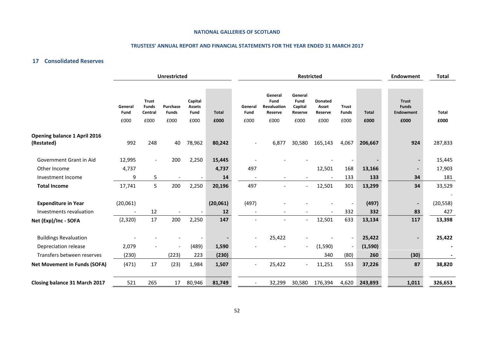## **TRUSTEES' ANNUAL REPORT AND FINANCIAL STATEMENTS FOR THE YEAR ENDED 31 MARCH 2017**

## **17 Consolidated Reserves**

|                                                       |                                      |                                         | <b>Unrestricted</b>      |                                  |                | <b>Restricted</b>        |                                           |                                       | <b>Endowment</b>                   | <b>Total</b>                                         |                   |                                                  |                  |
|-------------------------------------------------------|--------------------------------------|-----------------------------------------|--------------------------|----------------------------------|----------------|--------------------------|-------------------------------------------|---------------------------------------|------------------------------------|------------------------------------------------------|-------------------|--------------------------------------------------|------------------|
|                                                       | General<br>Fund                      | <b>Trust</b><br><b>Funds</b><br>Central | Purchase<br><b>Funds</b> | Capital<br><b>Assets</b><br>Fund | Total          | General<br>Fund          | General<br>Fund<br>Revaluation<br>Reserve | General<br>Fund<br>Capital<br>Reserve | <b>Donated</b><br>Asset<br>Reserve | <b>Trust</b><br><b>Funds</b>                         | <b>Total</b>      | <b>Trust</b><br><b>Funds</b><br><b>Endowment</b> | <b>Total</b>     |
|                                                       | £000                                 | £000                                    | £000                     | £000                             | £000           | £000                     | £000                                      | £000                                  | £000                               | £000                                                 | £000              | £000                                             | £000             |
| <b>Opening balance 1 April 2016</b><br>(Restated)     | 992                                  | 248                                     | 40                       | 78,962                           | 80,242         |                          | 6,877                                     | 30,580                                | 165,143                            | 4,067                                                | 206,667           | 924                                              | 287,833          |
| Government Grant in Aid                               | 12,995                               | $\overline{\phantom{a}}$                | 200                      | 2,250                            | 15,445         |                          |                                           |                                       |                                    |                                                      |                   |                                                  | 15,445           |
| Other Income                                          | 4,737                                |                                         |                          |                                  | 4,737          | 497                      |                                           |                                       | 12,501                             | 168                                                  | 13,166            | $\overline{\phantom{a}}$                         | 17,903           |
| Investment Income                                     | 9                                    | 5                                       |                          |                                  | 14             | $\overline{\phantom{a}}$ |                                           |                                       | $\overline{\phantom{a}}$           | 133                                                  | 133               | 34                                               | 181              |
| <b>Total Income</b>                                   | 17,741                               | 5                                       | 200                      | 2,250                            | 20,196         | 497                      |                                           |                                       | 12,501                             | 301                                                  | 13,299            | 34                                               | 33,529           |
| <b>Expenditure in Year</b><br>Investments revaluation | (20,061)<br>$\overline{\phantom{a}}$ | 12                                      |                          |                                  | (20,061)<br>12 | (497)                    |                                           |                                       | $\overline{\phantom{a}}$           | $\overline{\phantom{a}}$<br>332                      | (497)<br>332      | $\overline{\phantom{a}}$<br>83                   | (20, 558)<br>427 |
| Net (Exp)/Inc - SOFA                                  | (2,320)                              | 17                                      | 200                      | 2,250                            | 147            |                          |                                           |                                       | 12,501                             | 633                                                  | 13,134            | 117                                              | 13,398           |
| <b>Buildings Revaluation</b><br>Depreciation release  | 2,079                                |                                         | $\overline{\phantom{a}}$ | (489)                            | 1,590          |                          | 25,422                                    | $\overline{\phantom{a}}$              | (1,590)                            | $\overline{\phantom{a}}$<br>$\overline{\phantom{a}}$ | 25,422<br>(1,590) | $\blacksquare$                                   | 25,422           |
| Transfers between reserves                            | (230)                                |                                         | (223)                    | 223                              | (230)          |                          |                                           |                                       | 340                                | (80)                                                 | 260               | (30)                                             |                  |
| <b>Net Movement in Funds (SOFA)</b>                   | (471)                                | 17                                      | (23)                     | 1,984                            | 1,507          |                          | 25,422                                    | $\overline{\phantom{a}}$              | 11,251                             | 553                                                  | 37,226            | 87                                               | 38,820           |
| Closing balance 31 March 2017                         | 521                                  | 265                                     | 17                       | 80,946                           | 81,749         |                          | 32,299                                    | 30,580                                | 176,394                            | 4,620                                                | 243,893           | 1,011                                            | 326,653          |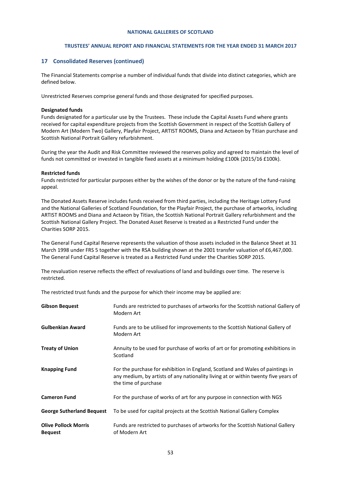#### **TRUSTEES' ANNUAL REPORT AND FINANCIAL STATEMENTS FOR THE YEAR ENDED 31 MARCH 2017**

#### **17 Consolidated Reserves (continued)**

The Financial Statements comprise a number of individual funds that divide into distinct categories, which are defined below.

Unrestricted Reserves comprise general funds and those designated for specified purposes.

#### **Designated funds**

Funds designated for a particular use by the Trustees. These include the Capital Assets Fund where grants received for capital expenditure projects from the Scottish Government in respect of the Scottish Gallery of Modern Art (Modern Two) Gallery, Playfair Project, ARTIST ROOMS, Diana and Actaeon by Titian purchase and Scottish National Portrait Gallery refurbishment.

During the year the Audit and Risk Committee reviewed the reserves policy and agreed to maintain the level of funds not committed or invested in tangible fixed assets at a minimum holding £100k (2015/16 £100k).

#### **Restricted funds**

Funds restricted for particular purposes either by the wishes of the donor or by the nature of the fund-raising appeal.

The Donated Assets Reserve includes funds received from third parties, including the Heritage Lottery Fund and the National Galleries of Scotland Foundation, for the Playfair Project, the purchase of artworks, including ARTIST ROOMS and Diana and Actaeon by Titian, the Scottish National Portrait Gallery refurbishment and the Scottish National Gallery Project. The Donated Asset Reserve is treated as a Restricted Fund under the Charities SORP 2015.

The General Fund Capital Reserve represents the valuation of those assets included in the Balance Sheet at 31 March 1998 under FRS 5 together with the RSA building shown at the 2001 transfer valuation of £6,467,000. The General Fund Capital Reserve is treated as a Restricted Fund under the Charities SORP 2015.

The revaluation reserve reflects the effect of revaluations of land and buildings over time. The reserve is restricted.

The restricted trust funds and the purpose for which their income may be applied are:

| <b>Gibson Bequest</b>                         | Funds are restricted to purchases of artworks for the Scottish national Gallery of<br>Modern Art                                                                                             |
|-----------------------------------------------|----------------------------------------------------------------------------------------------------------------------------------------------------------------------------------------------|
| <b>Gulbenkian Award</b>                       | Funds are to be utilised for improvements to the Scottish National Gallery of<br>Modern Art                                                                                                  |
| <b>Treaty of Union</b>                        | Annuity to be used for purchase of works of art or for promoting exhibitions in<br>Scotland                                                                                                  |
| <b>Knapping Fund</b>                          | For the purchase for exhibition in England, Scotland and Wales of paintings in<br>any medium, by artists of any nationality living at or within twenty five years of<br>the time of purchase |
| <b>Cameron Fund</b>                           | For the purchase of works of art for any purpose in connection with NGS                                                                                                                      |
| <b>George Sutherland Bequest</b>              | To be used for capital projects at the Scottish National Gallery Complex                                                                                                                     |
| <b>Olive Pollock Morris</b><br><b>Bequest</b> | Funds are restricted to purchases of artworks for the Scottish National Gallery<br>of Modern Art                                                                                             |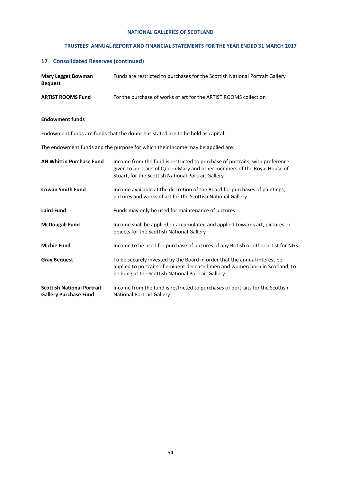## **TRUSTEES' ANNUAL REPORT AND FINANCIAL STATEMENTS FOR THE YEAR ENDED 31 MARCH 2017**

# **17 Consolidated Reserves (continued)**

| <b>Mary Legget Bowman</b><br><b>Bequest</b>                       | Funds are restricted to purchases for the Scottish National Portrait Gallery                                                                                                                                   |
|-------------------------------------------------------------------|----------------------------------------------------------------------------------------------------------------------------------------------------------------------------------------------------------------|
| <b>ARTIST ROOMS Fund</b>                                          | For the purchase of works of art for the ARTIST ROOMS collection                                                                                                                                               |
| <b>Endowment funds</b>                                            |                                                                                                                                                                                                                |
|                                                                   | Endowment funds are funds that the donor has stated are to be held as capital.                                                                                                                                 |
|                                                                   | The endowment funds and the purpose for which their income may be applied are:                                                                                                                                 |
| <b>AH Whittin Purchase Fund</b>                                   | Income from the fund is restricted to purchase of portraits, with preference<br>given to portraits of Queen Mary and other members of the Royal House of<br>Stuart, for the Scottish National Portrait Gallery |
| <b>Cowan Smith Fund</b>                                           | Income available at the discretion of the Board for purchases of paintings,<br>pictures and works of art for the Scottish National Gallery                                                                     |
| <b>Laird Fund</b>                                                 | Funds may only be used for maintenance of pictures                                                                                                                                                             |
| <b>McDougall Fund</b>                                             | Income shall be applied or accumulated and applied towards art, pictures or<br>objects for the Scottish National Gallery                                                                                       |
| <b>Michie Fund</b>                                                | Income to be used for purchase of pictures of any British or other artist for NGS                                                                                                                              |
| <b>Gray Bequest</b>                                               | To be securely invested by the Board in order that the annual interest be<br>applied to portraits of eminent deceased men and women born in Scotland, to<br>be hung at the Scottish National Portrait Gallery  |
| <b>Scottish National Portrait</b><br><b>Gallery Purchase Fund</b> | Income from the fund is restricted to purchases of portraits for the Scottish<br><b>National Portrait Gallery</b>                                                                                              |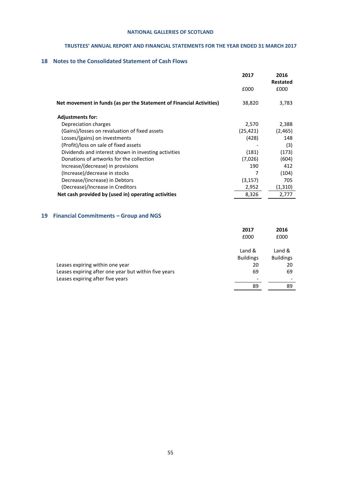## **TRUSTEES' ANNUAL REPORT AND FINANCIAL STATEMENTS FOR THE YEAR ENDED 31 MARCH 2017**

# **18 Notes to the Consolidated Statement of Cash Flows**

|                                                                      | 2017      | 2016<br><b>Restated</b> |
|----------------------------------------------------------------------|-----------|-------------------------|
|                                                                      | £000      | £000                    |
| Net movement in funds (as per the Statement of Financial Activities) | 38,820    | 3,783                   |
| <b>Adjustments for:</b>                                              |           |                         |
| Depreciation charges                                                 | 2,570     | 2,388                   |
| (Gains)/losses on revaluation of fixed assets                        | (25, 421) | (2, 465)                |
| Losses/(gains) on investments                                        | (428)     | 148                     |
| (Profit)/loss on sale of fixed assets                                |           | (3)                     |
| Dividends and interest shown in investing activities                 | (181)     | (173)                   |
| Donations of artworks for the collection                             | (7,026)   | (604)                   |
| Increase/(decrease) in provisions                                    | 190       | 412                     |
| (Increase)/decrease in stocks                                        |           | (104)                   |
| Decrease/(increase) in Debtors                                       | (3, 157)  | 705                     |
| (Decrease)/Increase in Creditors                                     | 2,952     | (1,310)                 |
| Net cash provided by (used in) operating activities                  | 8,326     | 2,777                   |

# **19 Financial Commitments – Group and NGS**

| £000                                                       | £000             |
|------------------------------------------------------------|------------------|
| Land &                                                     | Land &           |
| <b>Buildings</b>                                           | <b>Buildings</b> |
| Leases expiring within one year<br>20                      | 20               |
| Leases expiring after one year but within five years<br>69 | 69               |
| Leases expiring after five years                           |                  |
| 89                                                         | 89               |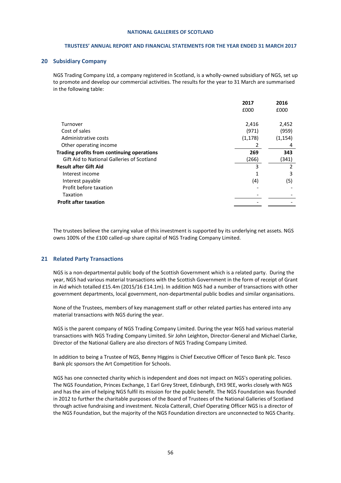#### **TRUSTEES' ANNUAL REPORT AND FINANCIAL STATEMENTS FOR THE YEAR ENDED 31 MARCH 2017**

#### **20 Subsidiary Company**

NGS Trading Company Ltd, a company registered in Scotland, is a wholly-owned subsidiary of NGS, set up to promote and develop our commercial activities. The results for the year to 31 March are summarised in the following table:

|                                            | 2017     | 2016     |
|--------------------------------------------|----------|----------|
|                                            | £000     | £000     |
| Turnover                                   | 2,416    | 2,452    |
| Cost of sales                              | (971)    | (959)    |
| Administrative costs                       | (1, 178) | (1, 154) |
| Other operating income                     | 2        | 4        |
| Trading profits from continuing operations | 269      | 343      |
| Gift Aid to National Galleries of Scotland | (266)    | (341)    |
| <b>Result after Gift Aid</b>               | 3        | 2        |
| Interest income                            | 1        | 3        |
| Interest payable                           | (4)      | (5)      |
| Profit before taxation                     |          |          |
| Taxation                                   |          |          |
| <b>Profit after taxation</b>               |          |          |
|                                            |          |          |

The trustees believe the carrying value of this investment is supported by its underlying net assets. NGS owns 100% of the £100 called-up share capital of NGS Trading Company Limited.

#### **21 Related Party Transactions**

NGS is a non-departmental public body of the Scottish Government which is a related party. During the year, NGS had various material transactions with the Scottish Government in the form of receipt of Grant in Aid which totalled £15.4m (2015/16 £14.1m). In addition NGS had a number of transactions with other government departments, local government, non-departmental public bodies and similar organisations.

None of the Trustees, members of key management staff or other related parties has entered into any material transactions with NGS during the year.

NGS is the parent company of NGS Trading Company Limited. During the year NGS had various material transactions with NGS Trading Company Limited. Sir John Leighton, Director-General and Michael Clarke, Director of the National Gallery are also directors of NGS Trading Company Limited.

In addition to being a Trustee of NGS, Benny Higgins is Chief Executive Officer of Tesco Bank plc. Tesco Bank plc sponsors the Art Competition for Schools.

NGS has one connected charity which is independent and does not impact on NGS's operating policies. The NGS Foundation, Princes Exchange, 1 Earl Grey Street, Edinburgh, EH3 9EE, works closely with NGS and has the aim of helping NGS fulfil its mission for the public benefit. The NGS Foundation was founded in 2012 to further the charitable purposes of the Board of Trustees of the National Galleries of Scotland through active fundraising and investment. Nicola Catterall, Chief Operating Officer NGS is a director of the NGS Foundation, but the majority of the NGS Foundation directors are unconnected to NGS Charity.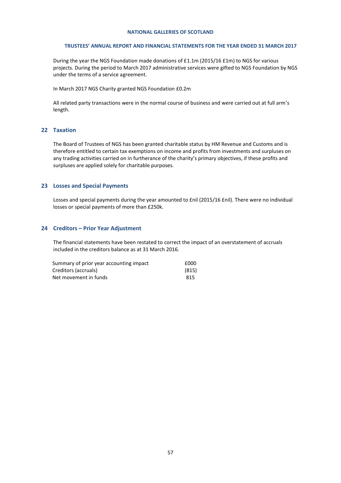#### **TRUSTEES' ANNUAL REPORT AND FINANCIAL STATEMENTS FOR THE YEAR ENDED 31 MARCH 2017**

During the year the NGS Foundation made donations of £1.1m (2015/16 £1m) to NGS for various projects. During the period to March 2017 administrative services were gifted to NGS Foundation by NGS under the terms of a service agreement.

In March 2017 NGS Charity granted NGS Foundation £0.2m

All related party transactions were in the normal course of business and were carried out at full arm's length.

#### **22 Taxation**

The Board of Trustees of NGS has been granted charitable status by HM Revenue and Customs and is therefore entitled to certain tax exemptions on income and profits from investments and surpluses on any trading activities carried on in furtherance of the charity's primary objectives, if these profits and surpluses are applied solely for charitable purposes.

## **23 Losses and Special Payments**

Losses and special payments during the year amounted to £nil (2015/16 £nil). There were no individual losses or special payments of more than £250k.

#### **24 Creditors – Prior Year Adjustment**

The financial statements have been restated to correct the impact of an overstatement of accruals included in the creditors balance as at 31 March 2016.

| Summary of prior year accounting impact | £000  |
|-----------------------------------------|-------|
| Creditors (accruals)                    | (815) |
| Net movement in funds                   | 815   |